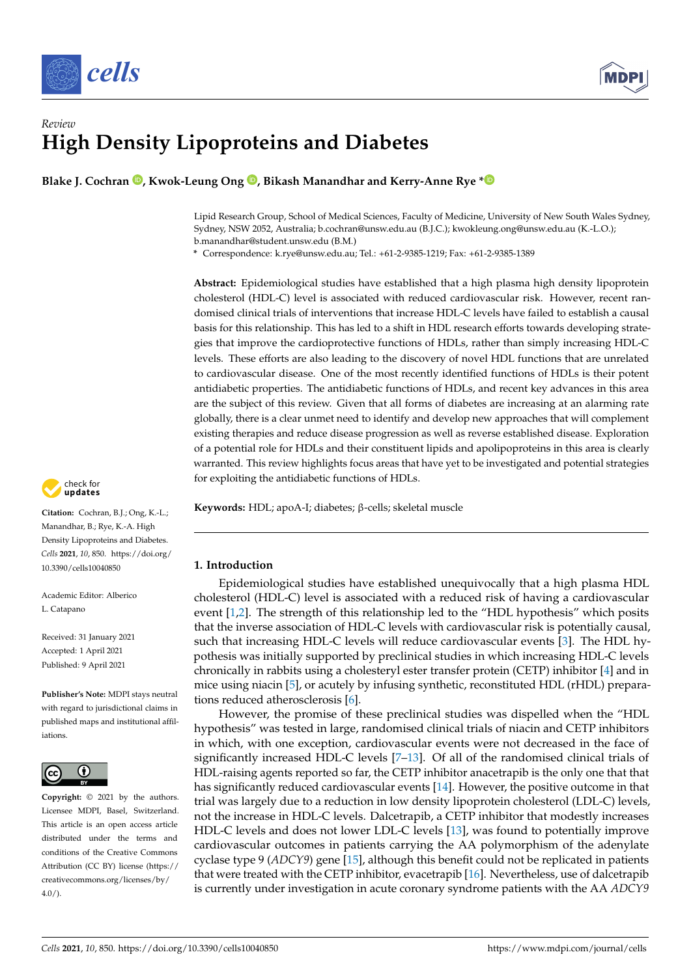



# *Review* **High Density Lipoproteins and Diabetes**

**Blake J. Cochran [,](https://orcid.org/0000-0002-9615-7939) Kwok-Leung Ong [,](https://orcid.org/0000-0001-7229-7614) Bikash Manandhar and Kerry-Anne Rye [\\*](https://orcid.org/0000-0002-9751-917X)**

Lipid Research Group, School of Medical Sciences, Faculty of Medicine, University of New South Wales Sydney, Sydney, NSW 2052, Australia; b.cochran@unsw.edu.au (B.J.C.); kwokleung.ong@unsw.edu.au (K.-L.O.); b.manandhar@student.unsw.edu (B.M.)

**\*** Correspondence: k.rye@unsw.edu.au; Tel.: +61-2-9385-1219; Fax: +61-2-9385-1389

**Abstract:** Epidemiological studies have established that a high plasma high density lipoprotein cholesterol (HDL-C) level is associated with reduced cardiovascular risk. However, recent randomised clinical trials of interventions that increase HDL-C levels have failed to establish a causal basis for this relationship. This has led to a shift in HDL research efforts towards developing strategies that improve the cardioprotective functions of HDLs, rather than simply increasing HDL-C levels. These efforts are also leading to the discovery of novel HDL functions that are unrelated to cardiovascular disease. One of the most recently identified functions of HDLs is their potent antidiabetic properties. The antidiabetic functions of HDLs, and recent key advances in this area are the subject of this review. Given that all forms of diabetes are increasing at an alarming rate globally, there is a clear unmet need to identify and develop new approaches that will complement existing therapies and reduce disease progression as well as reverse established disease. Exploration of a potential role for HDLs and their constituent lipids and apolipoproteins in this area is clearly warranted. This review highlights focus areas that have yet to be investigated and potential strategies for exploiting the antidiabetic functions of HDLs.

**Keywords:** HDL; apoA-I; diabetes; β-cells; skeletal muscle

## **1. Introduction**

Epidemiological studies have established unequivocally that a high plasma HDL cholesterol (HDL-C) level is associated with a reduced risk of having a cardiovascular event [\[1](#page-10-0)[,2\]](#page-10-1). The strength of this relationship led to the "HDL hypothesis" which posits that the inverse association of HDL-C levels with cardiovascular risk is potentially causal, such that increasing HDL-C levels will reduce cardiovascular events [\[3\]](#page-10-2). The HDL hypothesis was initially supported by preclinical studies in which increasing HDL-C levels chronically in rabbits using a cholesteryl ester transfer protein (CETP) inhibitor [\[4\]](#page-10-3) and in mice using niacin [\[5\]](#page-10-4), or acutely by infusing synthetic, reconstituted HDL (rHDL) preparations reduced atherosclerosis [\[6\]](#page-10-5).

However, the promise of these preclinical studies was dispelled when the "HDL hypothesis" was tested in large, randomised clinical trials of niacin and CETP inhibitors in which, with one exception, cardiovascular events were not decreased in the face of significantly increased HDL-C levels [\[7–](#page-10-6)[13\]](#page-10-7). Of all of the randomised clinical trials of HDL-raising agents reported so far, the CETP inhibitor anacetrapib is the only one that that has significantly reduced cardiovascular events [\[14\]](#page-10-8). However, the positive outcome in that trial was largely due to a reduction in low density lipoprotein cholesterol (LDL-C) levels, not the increase in HDL-C levels. Dalcetrapib, a CETP inhibitor that modestly increases HDL-C levels and does not lower LDL-C levels [\[13\]](#page-10-7), was found to potentially improve cardiovascular outcomes in patients carrying the AA polymorphism of the adenylate cyclase type 9 (*ADCY9*) gene [\[15\]](#page-10-9), although this benefit could not be replicated in patients that were treated with the CETP inhibitor, evacetrapib [\[16\]](#page-11-0). Nevertheless, use of dalcetrapib is currently under investigation in acute coronary syndrome patients with the AA *ADCY9*



**Citation:** Cochran, B.J.; Ong, K.-L.; Manandhar, B.; Rye, K.-A. High Density Lipoproteins and Diabetes. *Cells* **2021**, *10*, 850. [https://doi.org/](https://doi.org/10.3390/cells10040850) [10.3390/cells10040850](https://doi.org/10.3390/cells10040850)

Academic Editor: Alberico L. Catapano

Received: 31 January 2021 Accepted: 1 April 2021 Published: 9 April 2021

**Publisher's Note:** MDPI stays neutral with regard to jurisdictional claims in published maps and institutional affiliations.



**Copyright:** © 2021 by the authors. Licensee MDPI, Basel, Switzerland. This article is an open access article distributed under the terms and conditions of the Creative Commons Attribution (CC BY) license (https:/[/](https://creativecommons.org/licenses/by/4.0/) [creativecommons.org/licenses/by/](https://creativecommons.org/licenses/by/4.0/)  $4.0/$ ).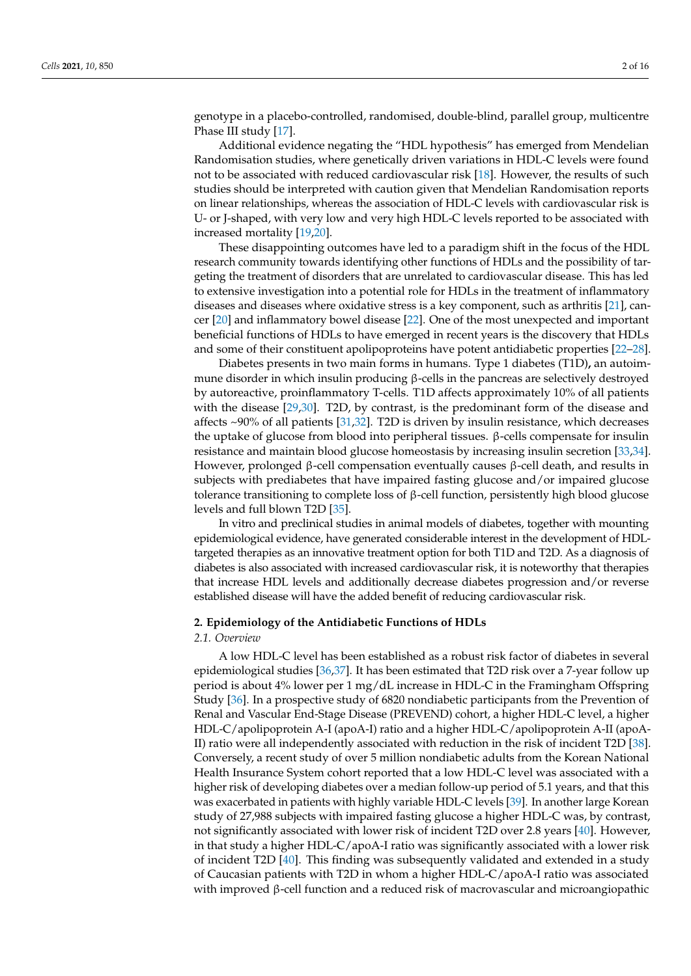genotype in a placebo-controlled, randomised, double-blind, parallel group, multicentre Phase III study [\[17\]](#page-11-1).

Additional evidence negating the "HDL hypothesis" has emerged from Mendelian Randomisation studies, where genetically driven variations in HDL-C levels were found not to be associated with reduced cardiovascular risk [\[18\]](#page-11-2). However, the results of such studies should be interpreted with caution given that Mendelian Randomisation reports on linear relationships, whereas the association of HDL-C levels with cardiovascular risk is U- or J-shaped, with very low and very high HDL-C levels reported to be associated with increased mortality [\[19,](#page-11-3)[20\]](#page-11-4).

These disappointing outcomes have led to a paradigm shift in the focus of the HDL research community towards identifying other functions of HDLs and the possibility of targeting the treatment of disorders that are unrelated to cardiovascular disease. This has led to extensive investigation into a potential role for HDLs in the treatment of inflammatory diseases and diseases where oxidative stress is a key component, such as arthritis [\[21\]](#page-11-5), cancer [\[20\]](#page-11-4) and inflammatory bowel disease [\[22\]](#page-11-6). One of the most unexpected and important beneficial functions of HDLs to have emerged in recent years is the discovery that HDLs and some of their constituent apolipoproteins have potent antidiabetic properties [\[22](#page-11-6)[–28\]](#page-11-7).

Diabetes presents in two main forms in humans. Type 1 diabetes (T1D)**,** an autoimmune disorder in which insulin producing  $\beta$ -cells in the pancreas are selectively destroyed by autoreactive, proinflammatory T-cells. T1D affects approximately 10% of all patients with the disease [\[29,](#page-11-8)[30\]](#page-11-9). T2D, by contrast, is the predominant form of the disease and affects ~90% of all patients [\[31,](#page-11-10)[32\]](#page-11-11). T2D is driven by insulin resistance, which decreases the uptake of glucose from blood into peripheral tissues. β-cells compensate for insulin resistance and maintain blood glucose homeostasis by increasing insulin secretion [\[33](#page-11-12)[,34\]](#page-11-13). However, prolonged β-cell compensation eventually causes β-cell death, and results in subjects with prediabetes that have impaired fasting glucose and/or impaired glucose tolerance transitioning to complete loss of  $\beta$ -cell function, persistently high blood glucose levels and full blown T2D [\[35\]](#page-11-14).

In vitro and preclinical studies in animal models of diabetes, together with mounting epidemiological evidence, have generated considerable interest in the development of HDLtargeted therapies as an innovative treatment option for both T1D and T2D. As a diagnosis of diabetes is also associated with increased cardiovascular risk, it is noteworthy that therapies that increase HDL levels and additionally decrease diabetes progression and/or reverse established disease will have the added benefit of reducing cardiovascular risk.

## **2. Epidemiology of the Antidiabetic Functions of HDLs**

#### *2.1. Overview*

A low HDL-C level has been established as a robust risk factor of diabetes in several epidemiological studies [\[36](#page-11-15)[,37\]](#page-11-16). It has been estimated that T2D risk over a 7-year follow up period is about 4% lower per 1 mg/dL increase in HDL-C in the Framingham Offspring Study [\[36\]](#page-11-15). In a prospective study of 6820 nondiabetic participants from the Prevention of Renal and Vascular End-Stage Disease (PREVEND) cohort, a higher HDL-C level, a higher HDL-C/apolipoprotein A-I (apoA-I) ratio and a higher HDL-C/apolipoprotein A-II (apoA-II) ratio were all independently associated with reduction in the risk of incident T2D [\[38\]](#page-11-17). Conversely, a recent study of over 5 million nondiabetic adults from the Korean National Health Insurance System cohort reported that a low HDL-C level was associated with a higher risk of developing diabetes over a median follow-up period of 5.1 years, and that this was exacerbated in patients with highly variable HDL-C levels [\[39\]](#page-11-18). In another large Korean study of 27,988 subjects with impaired fasting glucose a higher HDL-C was, by contrast, not significantly associated with lower risk of incident T2D over 2.8 years [\[40\]](#page-11-19). However, in that study a higher HDL-C/apoA-I ratio was significantly associated with a lower risk of incident T2D [\[40\]](#page-11-19). This finding was subsequently validated and extended in a study of Caucasian patients with T2D in whom a higher HDL-C/apoA-I ratio was associated with improved β-cell function and a reduced risk of macrovascular and microangiopathic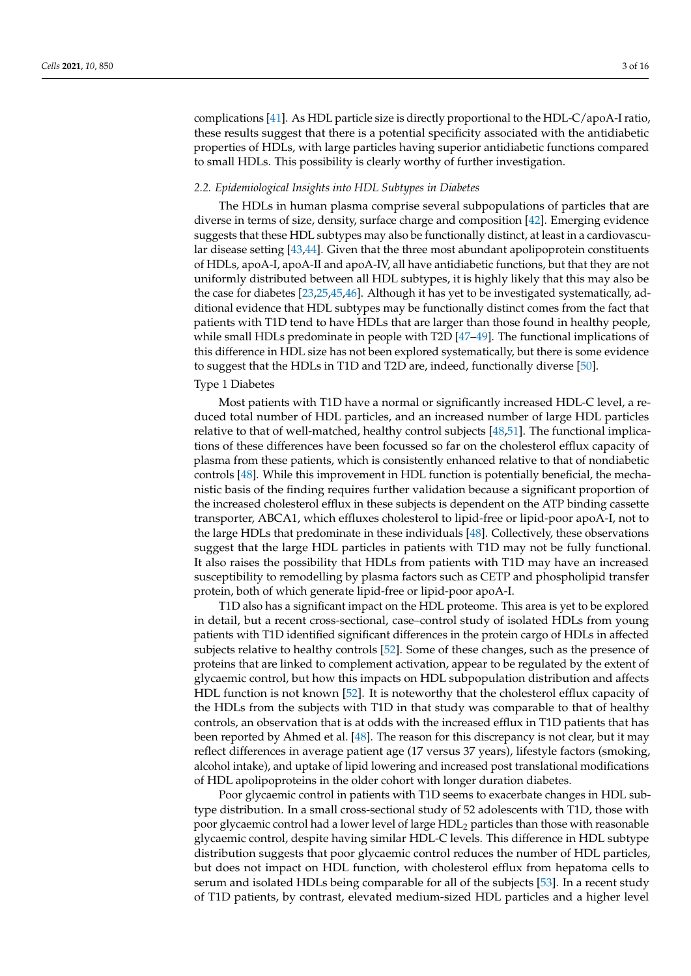complications [\[41\]](#page-11-20). As HDL particle size is directly proportional to the HDL-C/apoA-I ratio, these results suggest that there is a potential specificity associated with the antidiabetic properties of HDLs, with large particles having superior antidiabetic functions compared to small HDLs. This possibility is clearly worthy of further investigation.

#### *2.2. Epidemiological Insights into HDL Subtypes in Diabetes*

The HDLs in human plasma comprise several subpopulations of particles that are diverse in terms of size, density, surface charge and composition [\[42\]](#page-12-0). Emerging evidence suggests that these HDL subtypes may also be functionally distinct, at least in a cardiovascular disease setting [\[43,](#page-12-1)[44\]](#page-12-2). Given that the three most abundant apolipoprotein constituents of HDLs, apoA-I, apoA-II and apoA-IV, all have antidiabetic functions, but that they are not uniformly distributed between all HDL subtypes, it is highly likely that this may also be the case for diabetes [\[23](#page-11-21)[,25](#page-11-22)[,45,](#page-12-3)[46\]](#page-12-4). Although it has yet to be investigated systematically, additional evidence that HDL subtypes may be functionally distinct comes from the fact that patients with T1D tend to have HDLs that are larger than those found in healthy people, while small HDLs predominate in people with T2D [\[47](#page-12-5)[–49\]](#page-12-6). The functional implications of this difference in HDL size has not been explored systematically, but there is some evidence to suggest that the HDLs in T1D and T2D are, indeed, functionally diverse [\[50\]](#page-12-7).

## Type 1 Diabetes

Most patients with T1D have a normal or significantly increased HDL-C level, a reduced total number of HDL particles, and an increased number of large HDL particles relative to that of well-matched, healthy control subjects [\[48,](#page-12-8)[51\]](#page-12-9). The functional implications of these differences have been focussed so far on the cholesterol efflux capacity of plasma from these patients, which is consistently enhanced relative to that of nondiabetic controls [\[48\]](#page-12-8). While this improvement in HDL function is potentially beneficial, the mechanistic basis of the finding requires further validation because a significant proportion of the increased cholesterol efflux in these subjects is dependent on the ATP binding cassette transporter, ABCA1, which effluxes cholesterol to lipid-free or lipid-poor apoA-I, not to the large HDLs that predominate in these individuals [\[48\]](#page-12-8). Collectively, these observations suggest that the large HDL particles in patients with T1D may not be fully functional. It also raises the possibility that HDLs from patients with T1D may have an increased susceptibility to remodelling by plasma factors such as CETP and phospholipid transfer protein, both of which generate lipid-free or lipid-poor apoA-I.

T1D also has a significant impact on the HDL proteome. This area is yet to be explored in detail, but a recent cross-sectional, case–control study of isolated HDLs from young patients with T1D identified significant differences in the protein cargo of HDLs in affected subjects relative to healthy controls [\[52\]](#page-12-10). Some of these changes, such as the presence of proteins that are linked to complement activation, appear to be regulated by the extent of glycaemic control, but how this impacts on HDL subpopulation distribution and affects HDL function is not known [\[52\]](#page-12-10). It is noteworthy that the cholesterol efflux capacity of the HDLs from the subjects with T1D in that study was comparable to that of healthy controls, an observation that is at odds with the increased efflux in T1D patients that has been reported by Ahmed et al. [\[48\]](#page-12-8). The reason for this discrepancy is not clear, but it may reflect differences in average patient age (17 versus 37 years), lifestyle factors (smoking, alcohol intake), and uptake of lipid lowering and increased post translational modifications of HDL apolipoproteins in the older cohort with longer duration diabetes.

Poor glycaemic control in patients with T1D seems to exacerbate changes in HDL subtype distribution. In a small cross-sectional study of 52 adolescents with T1D, those with poor glycaemic control had a lower level of large HDL<sup>2</sup> particles than those with reasonable glycaemic control, despite having similar HDL-C levels. This difference in HDL subtype distribution suggests that poor glycaemic control reduces the number of HDL particles, but does not impact on HDL function, with cholesterol efflux from hepatoma cells to serum and isolated HDLs being comparable for all of the subjects [\[53\]](#page-12-11). In a recent study of T1D patients, by contrast, elevated medium-sized HDL particles and a higher level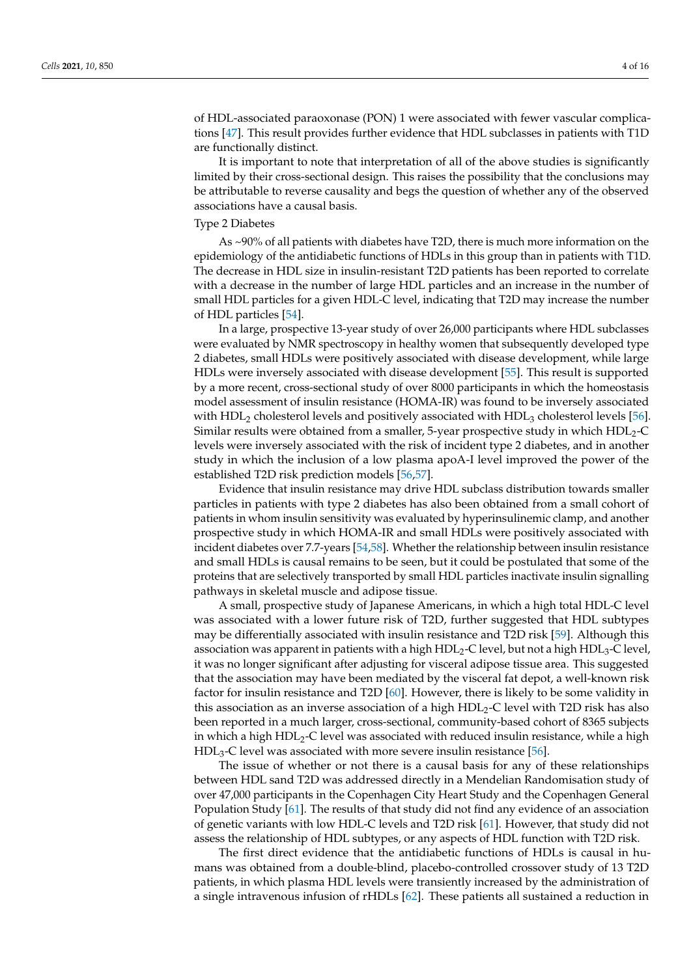of HDL-associated paraoxonase (PON) 1 were associated with fewer vascular complications [\[47\]](#page-12-5). This result provides further evidence that HDL subclasses in patients with T1D are functionally distinct.

It is important to note that interpretation of all of the above studies is significantly limited by their cross-sectional design. This raises the possibility that the conclusions may be attributable to reverse causality and begs the question of whether any of the observed associations have a causal basis.

## Type 2 Diabetes

As ~90% of all patients with diabetes have T2D, there is much more information on the epidemiology of the antidiabetic functions of HDLs in this group than in patients with T1D. The decrease in HDL size in insulin-resistant T2D patients has been reported to correlate with a decrease in the number of large HDL particles and an increase in the number of small HDL particles for a given HDL-C level, indicating that T2D may increase the number of HDL particles [\[54\]](#page-12-12).

In a large, prospective 13-year study of over 26,000 participants where HDL subclasses were evaluated by NMR spectroscopy in healthy women that subsequently developed type 2 diabetes, small HDLs were positively associated with disease development, while large HDLs were inversely associated with disease development [\[55\]](#page-12-13). This result is supported by a more recent, cross-sectional study of over 8000 participants in which the homeostasis model assessment of insulin resistance (HOMA-IR) was found to be inversely associated with  $HDL<sub>2</sub>$  cholesterol levels and positively associated with  $HDL<sub>3</sub>$  cholesterol levels [\[56\]](#page-12-14). Similar results were obtained from a smaller, 5-year prospective study in which  $HDL<sub>2</sub>-C$ levels were inversely associated with the risk of incident type 2 diabetes, and in another study in which the inclusion of a low plasma apoA-I level improved the power of the established T2D risk prediction models [\[56](#page-12-14)[,57\]](#page-12-15).

Evidence that insulin resistance may drive HDL subclass distribution towards smaller particles in patients with type 2 diabetes has also been obtained from a small cohort of patients in whom insulin sensitivity was evaluated by hyperinsulinemic clamp, and another prospective study in which HOMA-IR and small HDLs were positively associated with incident diabetes over 7.7-years [\[54,](#page-12-12)[58\]](#page-12-16). Whether the relationship between insulin resistance and small HDLs is causal remains to be seen, but it could be postulated that some of the proteins that are selectively transported by small HDL particles inactivate insulin signalling pathways in skeletal muscle and adipose tissue.

A small, prospective study of Japanese Americans, in which a high total HDL-C level was associated with a lower future risk of T2D, further suggested that HDL subtypes may be differentially associated with insulin resistance and T2D risk [\[59\]](#page-12-17). Although this association was apparent in patients with a high  $HDL_2-C$  level, but not a high  $HDL_3-C$  level, it was no longer significant after adjusting for visceral adipose tissue area. This suggested that the association may have been mediated by the visceral fat depot, a well-known risk factor for insulin resistance and T2D [\[60\]](#page-12-18). However, there is likely to be some validity in this association as an inverse association of a high HDL<sub>2</sub>-C level with T2D risk has also been reported in a much larger, cross-sectional, community-based cohort of 8365 subjects in which a high  $HDL<sub>2</sub>-C$  level was associated with reduced insulin resistance, while a high  $HDL<sub>3</sub>$ -C level was associated with more severe insulin resistance [\[56\]](#page-12-14).

The issue of whether or not there is a causal basis for any of these relationships between HDL sand T2D was addressed directly in a Mendelian Randomisation study of over 47,000 participants in the Copenhagen City Heart Study and the Copenhagen General Population Study [\[61\]](#page-12-19). The results of that study did not find any evidence of an association of genetic variants with low HDL-C levels and T2D risk [\[61\]](#page-12-19). However, that study did not assess the relationship of HDL subtypes, or any aspects of HDL function with T2D risk.

The first direct evidence that the antidiabetic functions of HDLs is causal in humans was obtained from a double-blind, placebo-controlled crossover study of 13 T2D patients, in which plasma HDL levels were transiently increased by the administration of a single intravenous infusion of rHDLs [\[62\]](#page-12-20). These patients all sustained a reduction in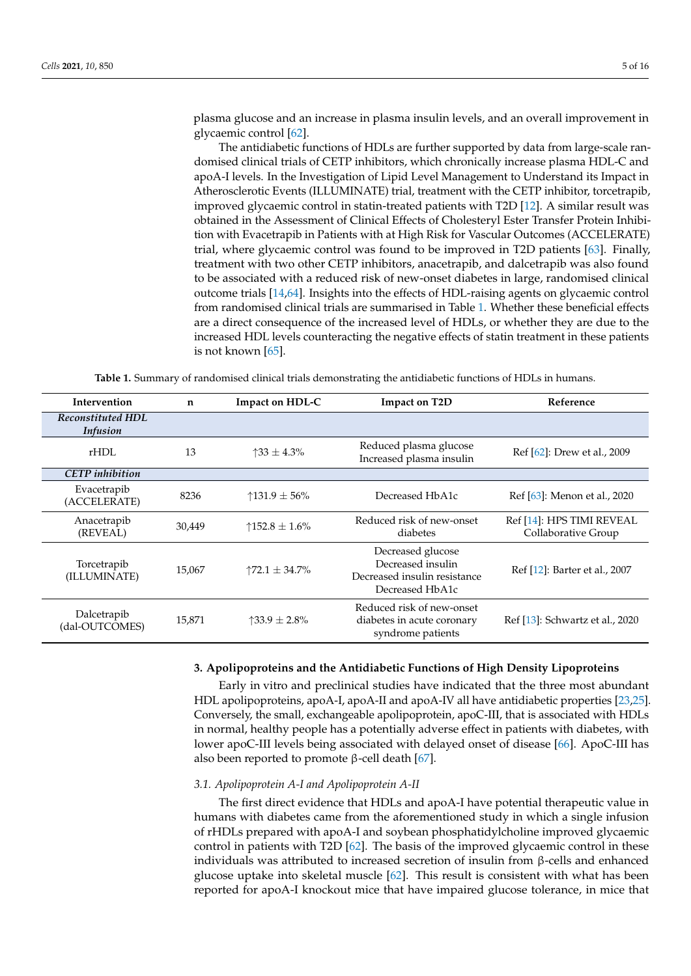plasma glucose and an increase in plasma insulin levels, and an overall improvement in glycaemic control [\[62\]](#page-12-20).

The antidiabetic functions of HDLs are further supported by data from large-scale randomised clinical trials of CETP inhibitors, which chronically increase plasma HDL-C and apoA-I levels. In the Investigation of Lipid Level Management to Understand its Impact in Atherosclerotic Events (ILLUMINATE) trial, treatment with the CETP inhibitor, torcetrapib, improved glycaemic control in statin-treated patients with T2D [\[12\]](#page-10-10). A similar result was obtained in the Assessment of Clinical Effects of Cholesteryl Ester Transfer Protein Inhibition with Evacetrapib in Patients with at High Risk for Vascular Outcomes (ACCELERATE) trial, where glycaemic control was found to be improved in T2D patients [\[63\]](#page-12-21). Finally, treatment with two other CETP inhibitors, anacetrapib, and dalcetrapib was also found to be associated with a reduced risk of new-onset diabetes in large, randomised clinical outcome trials [\[14,](#page-10-8)[64\]](#page-13-0). Insights into the effects of HDL-raising agents on glycaemic control from randomised clinical trials are summarised in Table [1.](#page-4-0) Whether these beneficial effects are a direct consequence of the increased level of HDLs, or whether they are due to the increased HDL levels counteracting the negative effects of statin treatment in these patients is not known [\[65\]](#page-13-1).

**Table 1.** Summary of randomised clinical trials demonstrating the antidiabetic functions of HDLs in humans.

<span id="page-4-0"></span>

| Intervention                                | $\mathbf n$ | Impact on HDL-C             | Impact on T2D                                                                             | Reference                                        |
|---------------------------------------------|-------------|-----------------------------|-------------------------------------------------------------------------------------------|--------------------------------------------------|
| <b>Reconstituted HDL</b><br><i>Infusion</i> |             |                             |                                                                                           |                                                  |
| rHDL                                        | 13          | $\uparrow$ 33 $\pm$ 4.3%    | Reduced plasma glucose<br>Increased plasma insulin                                        | Ref [62]: Drew et al., 2009                      |
| <b>CETP</b> inhibition                      |             |                             |                                                                                           |                                                  |
| Evacetrapib<br>(ACCELERATE)                 | 8236        | $131.9 \pm 56\%$            | Decreased HbA1c                                                                           | Ref [63]: Menon et al., 2020                     |
| Anacetrapib<br>(REVEAL)                     | 30,449      | ↑152.8 ± 1.6%               | Reduced risk of new-onset<br>diabetes                                                     | Ref [14]: HPS TIMI REVEAL<br>Collaborative Group |
| Torcetrapib<br>(ILLUMINATE)                 | 15,067      | $\uparrow$ 72.1 $\pm$ 34.7% | Decreased glucose<br>Decreased insulin<br>Decreased insulin resistance<br>Decreased HbA1c | Ref [12]: Barter et al., 2007                    |
| Dalcetrapib<br>(dal-OUTCOMES)               | 15,871      | 133.9 $\pm 2.8\%$           | Reduced risk of new-onset<br>diabetes in acute coronary<br>syndrome patients              | Ref [13]: Schwartz et al., 2020                  |

#### **3. Apolipoproteins and the Antidiabetic Functions of High Density Lipoproteins**

Early in vitro and preclinical studies have indicated that the three most abundant HDL apolipoproteins, apoA-I, apoA-II and apoA-IV all have antidiabetic properties [\[23](#page-11-21)[,25\]](#page-11-22). Conversely, the small, exchangeable apolipoprotein, apoC-III, that is associated with HDLs in normal, healthy people has a potentially adverse effect in patients with diabetes, with lower apoC-III levels being associated with delayed onset of disease [\[66\]](#page-13-2). ApoC-III has also been reported to promote  $β$ -cell death [\[67\]](#page-13-3).

#### *3.1. Apolipoprotein A-I and Apolipoprotein A-II*

The first direct evidence that HDLs and apoA-I have potential therapeutic value in humans with diabetes came from the aforementioned study in which a single infusion of rHDLs prepared with apoA-I and soybean phosphatidylcholine improved glycaemic control in patients with T2D [\[62\]](#page-12-20). The basis of the improved glycaemic control in these individuals was attributed to increased secretion of insulin from β-cells and enhanced glucose uptake into skeletal muscle [\[62\]](#page-12-20). This result is consistent with what has been reported for apoA-I knockout mice that have impaired glucose tolerance, in mice that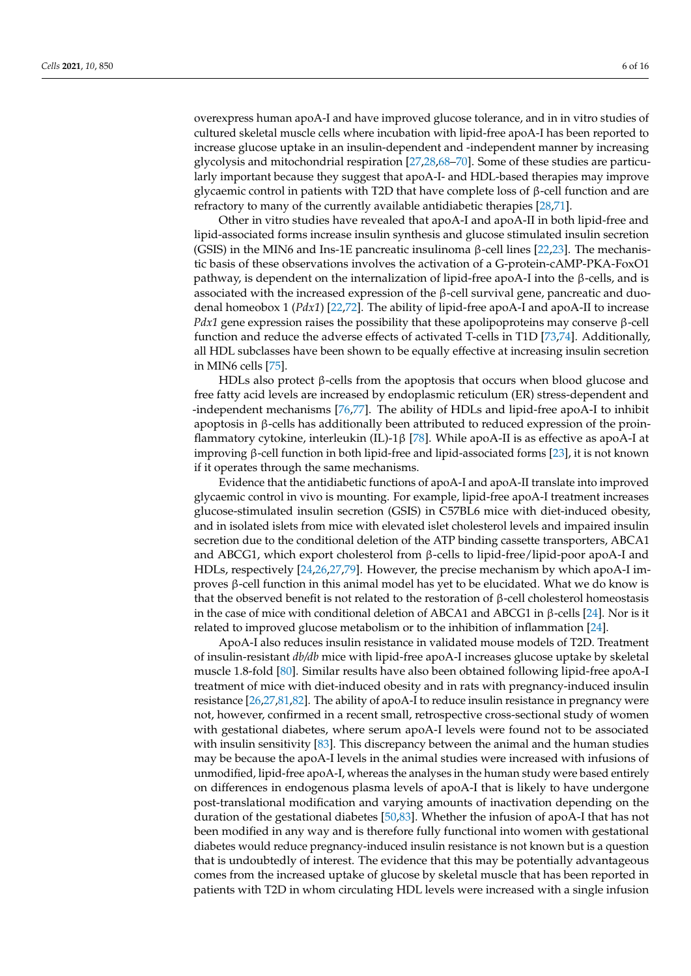overexpress human apoA-I and have improved glucose tolerance, and in in vitro studies of cultured skeletal muscle cells where incubation with lipid-free apoA-I has been reported to increase glucose uptake in an insulin-dependent and -independent manner by increasing glycolysis and mitochondrial respiration [\[27](#page-11-23)[,28](#page-11-7)[,68–](#page-13-4)[70\]](#page-13-5). Some of these studies are particularly important because they suggest that apoA-I- and HDL-based therapies may improve glycaemic control in patients with T2D that have complete loss of  $\beta$ -cell function and are refractory to many of the currently available antidiabetic therapies [\[28](#page-11-7)[,71\]](#page-13-6).

Other in vitro studies have revealed that apoA-I and apoA-II in both lipid-free and lipid-associated forms increase insulin synthesis and glucose stimulated insulin secretion (GSIS) in the MIN6 and Ins-1E pancreatic insulinoma  $\beta$ -cell lines [\[22](#page-11-6)[,23\]](#page-11-21). The mechanistic basis of these observations involves the activation of a G-protein-cAMP-PKA-FoxO1 pathway, is dependent on the internalization of lipid-free apoA-I into the β-cells, and is associated with the increased expression of the  $\beta$ -cell survival gene, pancreatic and duodenal homeobox 1 (*Pdx1*) [\[22,](#page-11-6)[72\]](#page-13-7). The ability of lipid-free apoA-I and apoA-II to increase *Pdx1* gene expression raises the possibility that these apolipoproteins may conserve  $\beta$ -cell function and reduce the adverse effects of activated T-cells in T1D [\[73](#page-13-8)[,74\]](#page-13-9). Additionally, all HDL subclasses have been shown to be equally effective at increasing insulin secretion in MIN6 cells [\[75\]](#page-13-10).

HDLs also protect β-cells from the apoptosis that occurs when blood glucose and free fatty acid levels are increased by endoplasmic reticulum (ER) stress-dependent and -independent mechanisms [\[76,](#page-13-11)[77\]](#page-13-12). The ability of HDLs and lipid-free apoA-I to inhibit apoptosis in β-cells has additionally been attributed to reduced expression of the proinflammatory cytokine, interleukin (IL)-1β [\[78\]](#page-13-13). While apoA-II is as effective as apoA-I at improving β-cell function in both lipid-free and lipid-associated forms [\[23\]](#page-11-21), it is not known if it operates through the same mechanisms.

Evidence that the antidiabetic functions of apoA-I and apoA-II translate into improved glycaemic control in vivo is mounting. For example, lipid-free apoA-I treatment increases glucose-stimulated insulin secretion (GSIS) in C57BL6 mice with diet-induced obesity, and in isolated islets from mice with elevated islet cholesterol levels and impaired insulin secretion due to the conditional deletion of the ATP binding cassette transporters, ABCA1 and ABCG1, which export cholesterol from β-cells to lipid-free/lipid-poor apoA-I and HDLs, respectively [\[24,](#page-11-24)[26,](#page-11-25)[27,](#page-11-23)[79\]](#page-13-14). However, the precise mechanism by which apoA-I improves β-cell function in this animal model has yet to be elucidated. What we do know is that the observed benefit is not related to the restoration of β-cell cholesterol homeostasis in the case of mice with conditional deletion of ABCA1 and ABCG1 in β-cells [\[24\]](#page-11-24). Nor is it related to improved glucose metabolism or to the inhibition of inflammation [\[24\]](#page-11-24).

ApoA-I also reduces insulin resistance in validated mouse models of T2D. Treatment of insulin-resistant *db/db* mice with lipid-free apoA-I increases glucose uptake by skeletal muscle 1.8-fold [\[80\]](#page-13-15). Similar results have also been obtained following lipid-free apoA-I treatment of mice with diet-induced obesity and in rats with pregnancy-induced insulin resistance [\[26](#page-11-25)[,27,](#page-11-23)[81,](#page-13-16)[82\]](#page-13-17). The ability of apoA-I to reduce insulin resistance in pregnancy were not, however, confirmed in a recent small, retrospective cross-sectional study of women with gestational diabetes, where serum apoA-I levels were found not to be associated with insulin sensitivity [\[83\]](#page-13-18). This discrepancy between the animal and the human studies may be because the apoA-I levels in the animal studies were increased with infusions of unmodified, lipid-free apoA-I, whereas the analyses in the human study were based entirely on differences in endogenous plasma levels of apoA-I that is likely to have undergone post-translational modification and varying amounts of inactivation depending on the duration of the gestational diabetes [\[50,](#page-12-7)[83\]](#page-13-18). Whether the infusion of apoA-I that has not been modified in any way and is therefore fully functional into women with gestational diabetes would reduce pregnancy-induced insulin resistance is not known but is a question that is undoubtedly of interest. The evidence that this may be potentially advantageous comes from the increased uptake of glucose by skeletal muscle that has been reported in patients with T2D in whom circulating HDL levels were increased with a single infusion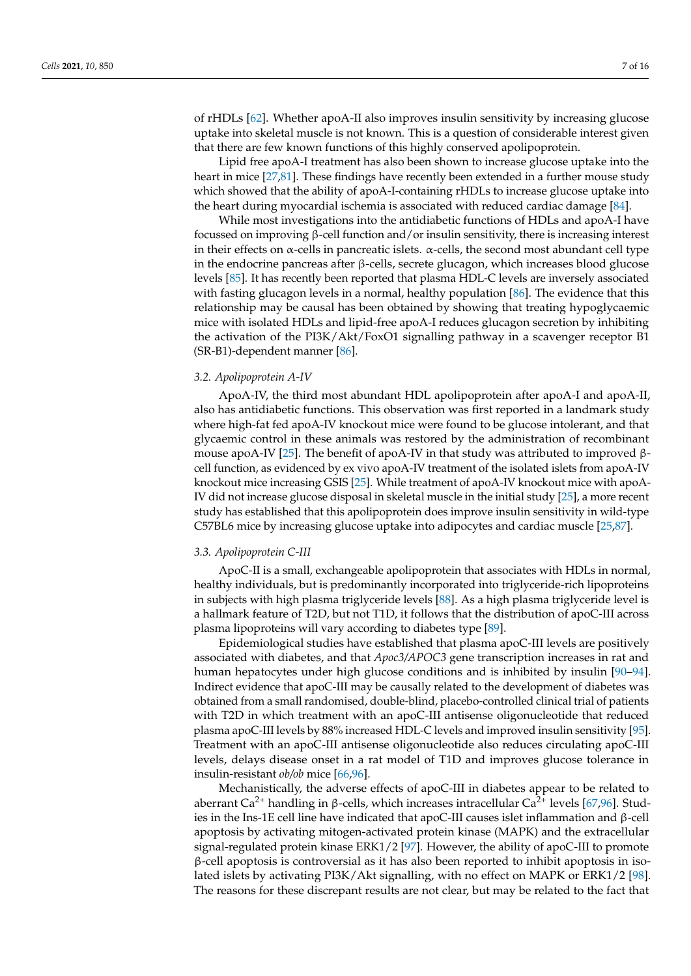of rHDLs [\[62\]](#page-12-20). Whether apoA-II also improves insulin sensitivity by increasing glucose uptake into skeletal muscle is not known. This is a question of considerable interest given that there are few known functions of this highly conserved apolipoprotein.

Lipid free apoA-I treatment has also been shown to increase glucose uptake into the heart in mice [\[27](#page-11-23)[,81\]](#page-13-16). These findings have recently been extended in a further mouse study which showed that the ability of apoA-I-containing rHDLs to increase glucose uptake into the heart during myocardial ischemia is associated with reduced cardiac damage [\[84\]](#page-13-19).

While most investigations into the antidiabetic functions of HDLs and apoA-I have focussed on improving β-cell function and/or insulin sensitivity, there is increasing interest in their effects on  $\alpha$ -cells in pancreatic islets.  $\alpha$ -cells, the second most abundant cell type in the endocrine pancreas after β-cells, secrete glucagon, which increases blood glucose levels [\[85\]](#page-14-0). It has recently been reported that plasma HDL-C levels are inversely associated with fasting glucagon levels in a normal, healthy population [\[86\]](#page-14-1). The evidence that this relationship may be causal has been obtained by showing that treating hypoglycaemic mice with isolated HDLs and lipid-free apoA-I reduces glucagon secretion by inhibiting the activation of the PI3K/Akt/FoxO1 signalling pathway in a scavenger receptor B1 (SR-B1)-dependent manner [\[86\]](#page-14-1).

#### *3.2. Apolipoprotein A-IV*

ApoA-IV, the third most abundant HDL apolipoprotein after apoA-I and apoA-II, also has antidiabetic functions. This observation was first reported in a landmark study where high-fat fed apoA-IV knockout mice were found to be glucose intolerant, and that glycaemic control in these animals was restored by the administration of recombinant mouse apoA-IV [\[25\]](#page-11-22). The benefit of apoA-IV in that study was attributed to improved βcell function, as evidenced by ex vivo apoA-IV treatment of the isolated islets from apoA-IV knockout mice increasing GSIS [\[25\]](#page-11-22). While treatment of apoA-IV knockout mice with apoA-IV did not increase glucose disposal in skeletal muscle in the initial study [\[25\]](#page-11-22), a more recent study has established that this apolipoprotein does improve insulin sensitivity in wild-type C57BL6 mice by increasing glucose uptake into adipocytes and cardiac muscle [\[25,](#page-11-22)[87\]](#page-14-2).

#### *3.3. Apolipoprotein C-III*

ApoC-II is a small, exchangeable apolipoprotein that associates with HDLs in normal, healthy individuals, but is predominantly incorporated into triglyceride-rich lipoproteins in subjects with high plasma triglyceride levels [\[88\]](#page-14-3). As a high plasma triglyceride level is a hallmark feature of T2D, but not T1D, it follows that the distribution of apoC-III across plasma lipoproteins will vary according to diabetes type [\[89\]](#page-14-4).

Epidemiological studies have established that plasma apoC-III levels are positively associated with diabetes, and that *Apoc3/APOC3* gene transcription increases in rat and human hepatocytes under high glucose conditions and is inhibited by insulin [\[90](#page-14-5)[–94\]](#page-14-6). Indirect evidence that apoC-III may be causally related to the development of diabetes was obtained from a small randomised, double-blind, placebo-controlled clinical trial of patients with T2D in which treatment with an apoC-III antisense oligonucleotide that reduced plasma apoC-III levels by 88% increased HDL-C levels and improved insulin sensitivity [\[95\]](#page-14-7). Treatment with an apoC-III antisense oligonucleotide also reduces circulating apoC-III levels, delays disease onset in a rat model of T1D and improves glucose tolerance in insulin-resistant *ob/ob* mice [\[66](#page-13-2)[,96\]](#page-14-8).

Mechanistically, the adverse effects of apoC-III in diabetes appear to be related to aberrant Ca<sup>2+</sup> handling in β-cells, which increases intracellular Ca<sup>2+</sup> levels [\[67,](#page-13-3)[96\]](#page-14-8). Studies in the Ins-1E cell line have indicated that apoC-III causes islet inflammation and β-cell apoptosis by activating mitogen-activated protein kinase (MAPK) and the extracellular signal-regulated protein kinase ERK1/2 [\[97\]](#page-14-9). However, the ability of apoC-III to promote β-cell apoptosis is controversial as it has also been reported to inhibit apoptosis in isolated islets by activating PI3K/Akt signalling, with no effect on MAPK or ERK1/2 [\[98\]](#page-14-10). The reasons for these discrepant results are not clear, but may be related to the fact that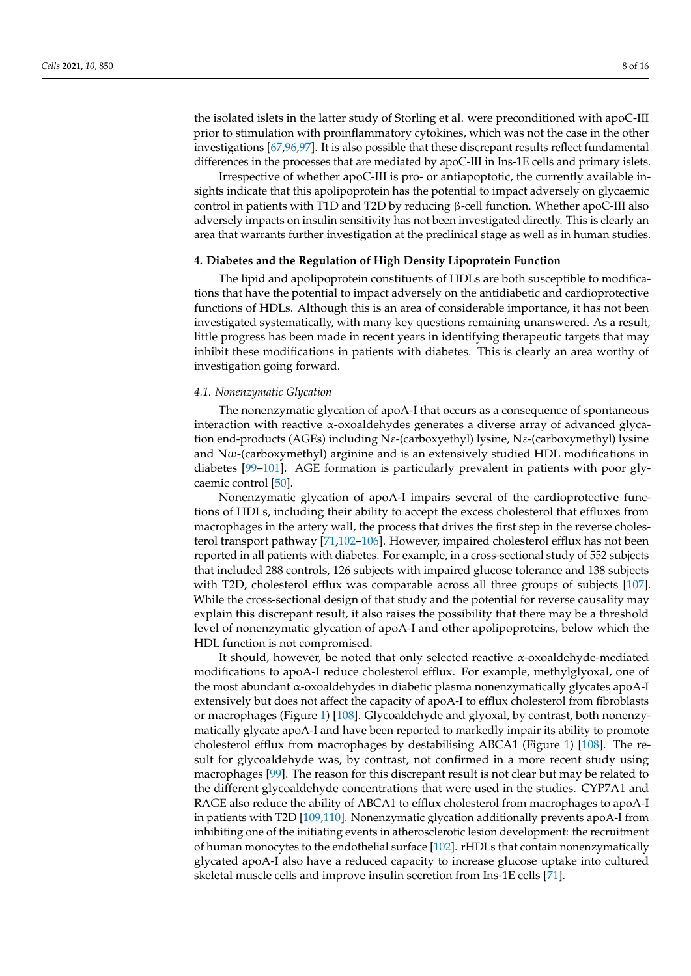the isolated islets in the latter study of Storling et al. were preconditioned with apoC-III prior to stimulation with proinflammatory cytokines, which was not the case in the other investigations [\[67,](#page-13-3)[96,](#page-14-8)[97\]](#page-14-9). It is also possible that these discrepant results reflect fundamental differences in the processes that are mediated by apoC-III in Ins-1E cells and primary islets.

Irrespective of whether apoC-III is pro- or antiapoptotic, the currently available insights indicate that this apolipoprotein has the potential to impact adversely on glycaemic control in patients with T1D and T2D by reducing β-cell function. Whether apoC-III also adversely impacts on insulin sensitivity has not been investigated directly. This is clearly an area that warrants further investigation at the preclinical stage as well as in human studies.

#### **4. Diabetes and the Regulation of High Density Lipoprotein Function**

The lipid and apolipoprotein constituents of HDLs are both susceptible to modifications that have the potential to impact adversely on the antidiabetic and cardioprotective functions of HDLs. Although this is an area of considerable importance, it has not been investigated systematically, with many key questions remaining unanswered. As a result, little progress has been made in recent years in identifying therapeutic targets that may inhibit these modifications in patients with diabetes. This is clearly an area worthy of investigation going forward.

#### *4.1. Nonenzymatic Glycation*

The nonenzymatic glycation of apoA-I that occurs as a consequence of spontaneous interaction with reactive α-oxoaldehydes generates a diverse array of advanced glycation end-products (AGEs) including Nε-(carboxyethyl) lysine, Nε-(carboxymethyl) lysine and  $N\omega$ -(carboxymethyl) arginine and is an extensively studied HDL modifications in diabetes [\[99](#page-14-11)[–101\]](#page-14-12). AGE formation is particularly prevalent in patients with poor glycaemic control [\[50\]](#page-12-7).

Nonenzymatic glycation of apoA-I impairs several of the cardioprotective functions of HDLs, including their ability to accept the excess cholesterol that effluxes from macrophages in the artery wall, the process that drives the first step in the reverse cholesterol transport pathway [\[71,](#page-13-6)[102–](#page-14-13)[106\]](#page-15-0). However, impaired cholesterol efflux has not been reported in all patients with diabetes. For example, in a cross-sectional study of 552 subjects that included 288 controls, 126 subjects with impaired glucose tolerance and 138 subjects with T2D, cholesterol efflux was comparable across all three groups of subjects [\[107\]](#page-15-1). While the cross-sectional design of that study and the potential for reverse causality may explain this discrepant result, it also raises the possibility that there may be a threshold level of nonenzymatic glycation of apoA-I and other apolipoproteins, below which the HDL function is not compromised.

It should, however, be noted that only selected reactive α-oxoaldehyde-mediated modifications to apoA-I reduce cholesterol efflux. For example, methylglyoxal, one of the most abundant  $\alpha$ -oxoaldehydes in diabetic plasma nonenzymatically glycates apoA-I extensively but does not affect the capacity of apoA-I to efflux cholesterol from fibroblasts or macrophages (Figure [1\)](#page-8-0) [\[108\]](#page-15-2). Glycoaldehyde and glyoxal, by contrast, both nonenzymatically glycate apoA-I and have been reported to markedly impair its ability to promote cholesterol efflux from macrophages by destabilising ABCA1 (Figure [1\)](#page-8-0) [\[108\]](#page-15-2). The result for glycoaldehyde was, by contrast, not confirmed in a more recent study using macrophages [\[99\]](#page-14-11). The reason for this discrepant result is not clear but may be related to the different glycoaldehyde concentrations that were used in the studies. CYP7A1 and RAGE also reduce the ability of ABCA1 to efflux cholesterol from macrophages to apoA-I in patients with T2D [\[109](#page-15-3)[,110\]](#page-15-4). Nonenzymatic glycation additionally prevents apoA-I from inhibiting one of the initiating events in atherosclerotic lesion development: the recruitment of human monocytes to the endothelial surface [\[102\]](#page-14-13). rHDLs that contain nonenzymatically glycated apoA-I also have a reduced capacity to increase glucose uptake into cultured skeletal muscle cells and improve insulin secretion from Ins-1E cells [\[71\]](#page-13-6).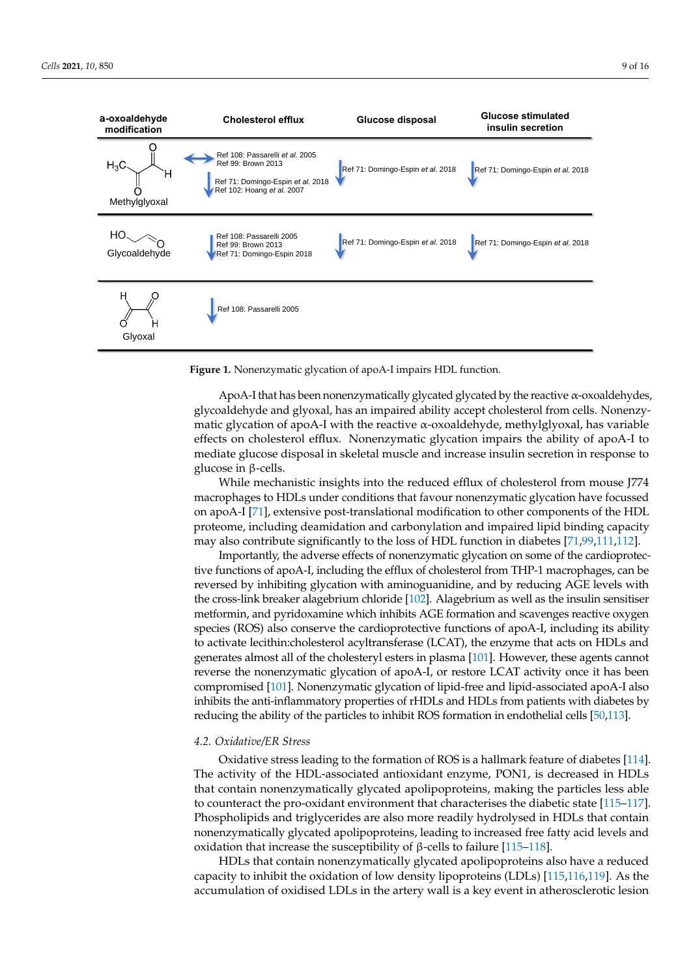<span id="page-8-0"></span>

| a-oxoaldehyde<br>modification | <b>Cholesterol efflux</b>                                                                                                | Glucose disposal                  | <b>Glucose stimulated</b><br>insulin secretion |
|-------------------------------|--------------------------------------------------------------------------------------------------------------------------|-----------------------------------|------------------------------------------------|
| $H_3C$<br>Ή<br>Methylglyoxal  | Ref 108: Passarelli et al. 2005<br>Ref 99: Brown 2013<br>Ref 71: Domingo-Espin et al. 2018<br>Ref 102: Hoang et al. 2007 | Ref 71: Domingo-Espin et al. 2018 | Ref 71: Domingo-Espin et al. 2018              |
| Glycoaldehyde                 | Ref 108: Passarelli 2005<br>Ref 99: Brown 2013<br>Ref 71: Domingo-Espin 2018                                             | Ref 71: Domingo-Espin et al. 2018 | Ref 71: Domingo-Espin et al. 2018              |
| H<br>н<br>Glyoxal             | Ref 108: Passarelli 2005                                                                                                 |                                   |                                                |

**Figure 1.** Nonenzymatic glycation of apoA-I impairs HDL function.

ApoA-I that has been nonenzymatically glycated glycated by the reactive  $\alpha$ -oxoaldehydes, glycoaldehyde and glyoxal, has an impaired ability accept cholesterol from cells. Nonenzymatic glycation of apoA-I with the reactive  $\alpha$ -oxoaldehyde, methylglyoxal, has variable effects on cholesterol efflux. Nonenzymatic glycation impairs the ability of apoA-I to mediate glucose disposal in skeletal muscle and increase insulin secretion in response to glucose in β-cells.

While mechanistic insights into the reduced efflux of cholesterol from mouse J774 macrophages to HDLs under conditions that favour nonenzymatic glycation have focussed on apoA-I [\[71\]](#page-13-6), extensive post-translational modification to other components of the HDL proteome, including deamidation and carbonylation and impaired lipid binding capacity may also contribute significantly to the loss of HDL function in diabetes [\[71,](#page-13-6)[99,](#page-14-11)[111](#page-15-5)[,112\]](#page-15-6).

Importantly, the adverse effects of nonenzymatic glycation on some of the cardioprotective functions of apoA-I, including the efflux of cholesterol from THP-1 macrophages, can be reversed by inhibiting glycation with aminoguanidine, and by reducing AGE levels with the cross-link breaker alagebrium chloride [\[102\]](#page-14-13). Alagebrium as well as the insulin sensitiser metformin, and pyridoxamine which inhibits AGE formation and scavenges reactive oxygen species (ROS) also conserve the cardioprotective functions of apoA-I, including its ability to activate lecithin:cholesterol acyltransferase (LCAT), the enzyme that acts on HDLs and generates almost all of the cholesteryl esters in plasma [\[101\]](#page-14-12). However, these agents cannot reverse the nonenzymatic glycation of apoA-I, or restore LCAT activity once it has been compromised [\[101\]](#page-14-12). Nonenzymatic glycation of lipid-free and lipid-associated apoA-I also inhibits the anti-inflammatory properties of rHDLs and HDLs from patients with diabetes by reducing the ability of the particles to inhibit ROS formation in endothelial cells [\[50,](#page-12-7)[113\]](#page-15-7).

## *4.2. Oxidative/ER Stress*

Oxidative stress leading to the formation of ROS is a hallmark feature of diabetes [\[114\]](#page-15-8). The activity of the HDL-associated antioxidant enzyme, PON1, is decreased in HDLs that contain nonenzymatically glycated apolipoproteins, making the particles less able to counteract the pro-oxidant environment that characterises the diabetic state [\[115](#page-15-9)[–117\]](#page-15-10). Phospholipids and triglycerides are also more readily hydrolysed in HDLs that contain nonenzymatically glycated apolipoproteins, leading to increased free fatty acid levels and oxidation that increase the susceptibility of β-cells to failure  $[115-118]$  $[115-118]$ .

HDLs that contain nonenzymatically glycated apolipoproteins also have a reduced capacity to inhibit the oxidation of low density lipoproteins (LDLs) [\[115,](#page-15-9)[116,](#page-15-12)[119\]](#page-15-13). As the accumulation of oxidised LDLs in the artery wall is a key event in atherosclerotic lesion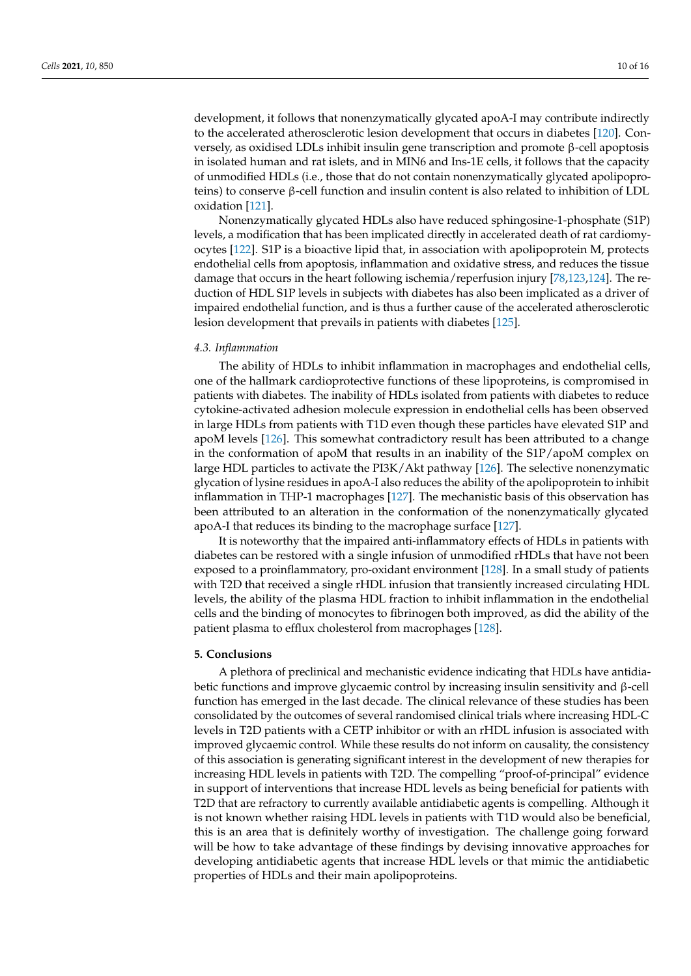development, it follows that nonenzymatically glycated apoA-I may contribute indirectly to the accelerated atherosclerotic lesion development that occurs in diabetes [\[120\]](#page-15-14). Conversely, as oxidised LDLs inhibit insulin gene transcription and promote β-cell apoptosis in isolated human and rat islets, and in MIN6 and Ins-1E cells, it follows that the capacity of unmodified HDLs (i.e., those that do not contain nonenzymatically glycated apolipoproteins) to conserve β-cell function and insulin content is also related to inhibition of LDL oxidation [\[121\]](#page-15-15).

Nonenzymatically glycated HDLs also have reduced sphingosine-1-phosphate (S1P) levels, a modification that has been implicated directly in accelerated death of rat cardiomyocytes [\[122\]](#page-15-16). S1P is a bioactive lipid that, in association with apolipoprotein M, protects endothelial cells from apoptosis, inflammation and oxidative stress, and reduces the tissue damage that occurs in the heart following ischemia/reperfusion injury [\[78,](#page-13-13)[123](#page-15-17)[,124\]](#page-15-18). The reduction of HDL S1P levels in subjects with diabetes has also been implicated as a driver of impaired endothelial function, and is thus a further cause of the accelerated atherosclerotic lesion development that prevails in patients with diabetes [\[125\]](#page-15-19).

#### *4.3. Inflammation*

The ability of HDLs to inhibit inflammation in macrophages and endothelial cells, one of the hallmark cardioprotective functions of these lipoproteins, is compromised in patients with diabetes. The inability of HDLs isolated from patients with diabetes to reduce cytokine-activated adhesion molecule expression in endothelial cells has been observed in large HDLs from patients with T1D even though these particles have elevated S1P and apoM levels [\[126\]](#page-15-20). This somewhat contradictory result has been attributed to a change in the conformation of apoM that results in an inability of the S1P/apoM complex on large HDL particles to activate the PI3K/Akt pathway [\[126\]](#page-15-20). The selective nonenzymatic glycation of lysine residues in apoA-I also reduces the ability of the apolipoprotein to inhibit inflammation in THP-1 macrophages [\[127\]](#page-15-21). The mechanistic basis of this observation has been attributed to an alteration in the conformation of the nonenzymatically glycated apoA-I that reduces its binding to the macrophage surface [\[127\]](#page-15-21).

It is noteworthy that the impaired anti-inflammatory effects of HDLs in patients with diabetes can be restored with a single infusion of unmodified rHDLs that have not been exposed to a proinflammatory, pro-oxidant environment [\[128\]](#page-15-22). In a small study of patients with T2D that received a single rHDL infusion that transiently increased circulating HDL levels, the ability of the plasma HDL fraction to inhibit inflammation in the endothelial cells and the binding of monocytes to fibrinogen both improved, as did the ability of the patient plasma to efflux cholesterol from macrophages [\[128\]](#page-15-22).

#### **5. Conclusions**

A plethora of preclinical and mechanistic evidence indicating that HDLs have antidiabetic functions and improve glycaemic control by increasing insulin sensitivity and β-cell function has emerged in the last decade. The clinical relevance of these studies has been consolidated by the outcomes of several randomised clinical trials where increasing HDL-C levels in T2D patients with a CETP inhibitor or with an rHDL infusion is associated with improved glycaemic control. While these results do not inform on causality, the consistency of this association is generating significant interest in the development of new therapies for increasing HDL levels in patients with T2D. The compelling "proof-of-principal" evidence in support of interventions that increase HDL levels as being beneficial for patients with T2D that are refractory to currently available antidiabetic agents is compelling. Although it is not known whether raising HDL levels in patients with T1D would also be beneficial, this is an area that is definitely worthy of investigation. The challenge going forward will be how to take advantage of these findings by devising innovative approaches for developing antidiabetic agents that increase HDL levels or that mimic the antidiabetic properties of HDLs and their main apolipoproteins.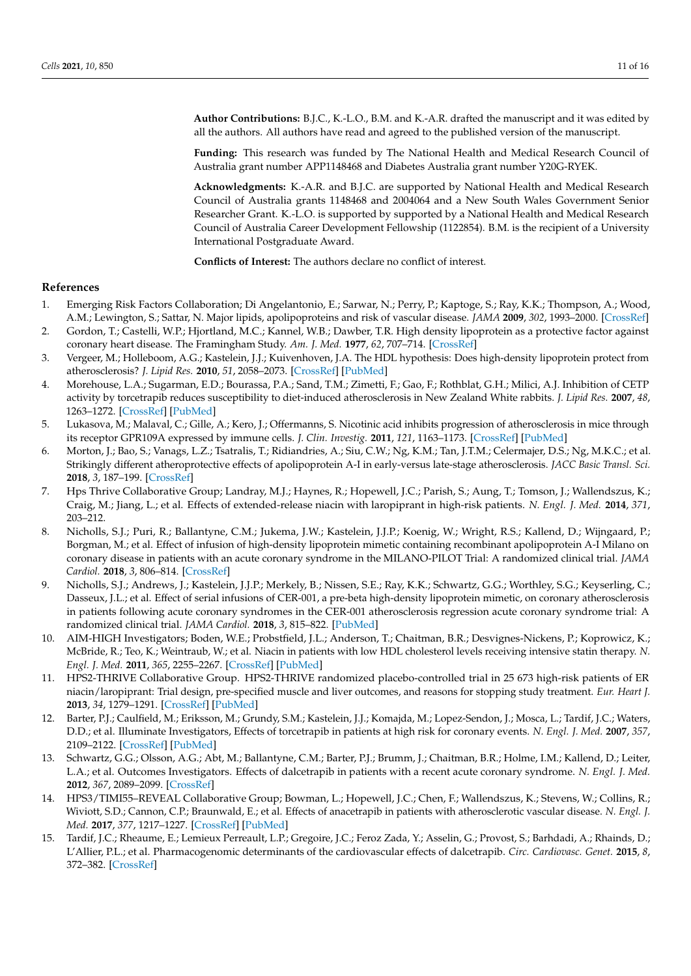**Author Contributions:** B.J.C., K.-L.O., B.M. and K.-A.R. drafted the manuscript and it was edited by all the authors. All authors have read and agreed to the published version of the manuscript.

**Funding:** This research was funded by The National Health and Medical Research Council of Australia grant number APP1148468 and Diabetes Australia grant number Y20G-RYEK.

**Acknowledgments:** K.-A.R. and B.J.C. are supported by National Health and Medical Research Council of Australia grants 1148468 and 2004064 and a New South Wales Government Senior Researcher Grant. K.-L.O. is supported by supported by a National Health and Medical Research Council of Australia Career Development Fellowship (1122854). B.M. is the recipient of a University International Postgraduate Award.

**Conflicts of Interest:** The authors declare no conflict of interest.

#### **References**

- <span id="page-10-0"></span>1. Emerging Risk Factors Collaboration; Di Angelantonio, E.; Sarwar, N.; Perry, P.; Kaptoge, S.; Ray, K.K.; Thompson, A.; Wood, A.M.; Lewington, S.; Sattar, N. Major lipids, apolipoproteins and risk of vascular disease. *JAMA* **2009**, *302*, 1993–2000. [\[CrossRef\]](http://doi.org/10.1001/jama.2009.1619)
- <span id="page-10-1"></span>2. Gordon, T.; Castelli, W.P.; Hjortland, M.C.; Kannel, W.B.; Dawber, T.R. High density lipoprotein as a protective factor against coronary heart disease. The Framingham Study. *Am. J. Med.* **1977**, *62*, 707–714. [\[CrossRef\]](http://doi.org/10.1016/0002-9343(77)90874-9)
- <span id="page-10-2"></span>3. Vergeer, M.; Holleboom, A.G.; Kastelein, J.J.; Kuivenhoven, J.A. The HDL hypothesis: Does high-density lipoprotein protect from atherosclerosis? *J. Lipid Res.* **2010**, *51*, 2058–2073. [\[CrossRef\]](http://doi.org/10.1194/jlr.R001610) [\[PubMed\]](http://www.ncbi.nlm.nih.gov/pubmed/20371550)
- <span id="page-10-3"></span>4. Morehouse, L.A.; Sugarman, E.D.; Bourassa, P.A.; Sand, T.M.; Zimetti, F.; Gao, F.; Rothblat, G.H.; Milici, A.J. Inhibition of CETP activity by torcetrapib reduces susceptibility to diet-induced atherosclerosis in New Zealand White rabbits. *J. Lipid Res.* **2007**, *48*, 1263–1272. [\[CrossRef\]](http://doi.org/10.1194/jlr.M600332-JLR200) [\[PubMed\]](http://www.ncbi.nlm.nih.gov/pubmed/17325387)
- <span id="page-10-4"></span>5. Lukasova, M.; Malaval, C.; Gille, A.; Kero, J.; Offermanns, S. Nicotinic acid inhibits progression of atherosclerosis in mice through its receptor GPR109A expressed by immune cells. *J. Clin. Investig.* **2011**, *121*, 1163–1173. [\[CrossRef\]](http://doi.org/10.1172/JCI41651) [\[PubMed\]](http://www.ncbi.nlm.nih.gov/pubmed/21317532)
- <span id="page-10-5"></span>6. Morton, J.; Bao, S.; Vanags, L.Z.; Tsatralis, T.; Ridiandries, A.; Siu, C.W.; Ng, K.M.; Tan, J.T.M.; Celermajer, D.S.; Ng, M.K.C.; et al. Strikingly different atheroprotective effects of apolipoprotein A-I in early-versus late-stage atherosclerosis. *JACC Basic Transl. Sci.* **2018**, *3*, 187–199. [\[CrossRef\]](http://doi.org/10.1016/j.jacbts.2017.11.004)
- <span id="page-10-6"></span>7. Hps Thrive Collaborative Group; Landray, M.J.; Haynes, R.; Hopewell, J.C.; Parish, S.; Aung, T.; Tomson, J.; Wallendszus, K.; Craig, M.; Jiang, L.; et al. Effects of extended-release niacin with laropiprant in high-risk patients. *N. Engl. J. Med.* **2014**, *371*, 203–212.
- 8. Nicholls, S.J.; Puri, R.; Ballantyne, C.M.; Jukema, J.W.; Kastelein, J.J.P.; Koenig, W.; Wright, R.S.; Kallend, D.; Wijngaard, P.; Borgman, M.; et al. Effect of infusion of high-density lipoprotein mimetic containing recombinant apolipoprotein A-I Milano on coronary disease in patients with an acute coronary syndrome in the MILANO-PILOT Trial: A randomized clinical trial. *JAMA Cardiol.* **2018**, *3*, 806–814. [\[CrossRef\]](http://doi.org/10.1001/jamacardio.2018.2112)
- 9. Nicholls, S.J.; Andrews, J.; Kastelein, J.J.P.; Merkely, B.; Nissen, S.E.; Ray, K.K.; Schwartz, G.G.; Worthley, S.G.; Keyserling, C.; Dasseux, J.L.; et al. Effect of serial infusions of CER-001, a pre-beta high-density lipoprotein mimetic, on coronary atherosclerosis in patients following acute coronary syndromes in the CER-001 atherosclerosis regression acute coronary syndrome trial: A randomized clinical trial. *JAMA Cardiol.* **2018**, *3*, 815–822. [\[PubMed\]](http://www.ncbi.nlm.nih.gov/pubmed/30046828)
- 10. AIM-HIGH Investigators; Boden, W.E.; Probstfield, J.L.; Anderson, T.; Chaitman, B.R.; Desvignes-Nickens, P.; Koprowicz, K.; McBride, R.; Teo, K.; Weintraub, W.; et al. Niacin in patients with low HDL cholesterol levels receiving intensive statin therapy. *N. Engl. J. Med.* **2011**, *365*, 2255–2267. [\[CrossRef\]](http://doi.org/10.1056/NEJMoa1107579) [\[PubMed\]](http://www.ncbi.nlm.nih.gov/pubmed/22085343)
- 11. HPS2-THRIVE Collaborative Group. HPS2-THRIVE randomized placebo-controlled trial in 25 673 high-risk patients of ER niacin/laropiprant: Trial design, pre-specified muscle and liver outcomes, and reasons for stopping study treatment. *Eur. Heart J.* **2013**, *34*, 1279–1291. [\[CrossRef\]](http://doi.org/10.1093/eurheartj/eht055) [\[PubMed\]](http://www.ncbi.nlm.nih.gov/pubmed/23444397)
- <span id="page-10-10"></span>12. Barter, P.J.; Caulfield, M.; Eriksson, M.; Grundy, S.M.; Kastelein, J.J.; Komajda, M.; Lopez-Sendon, J.; Mosca, L.; Tardif, J.C.; Waters, D.D.; et al. Illuminate Investigators, Effects of torcetrapib in patients at high risk for coronary events. *N. Engl. J. Med.* **2007**, *357*, 2109–2122. [\[CrossRef\]](http://doi.org/10.1056/NEJMoa0706628) [\[PubMed\]](http://www.ncbi.nlm.nih.gov/pubmed/17984165)
- <span id="page-10-7"></span>13. Schwartz, G.G.; Olsson, A.G.; Abt, M.; Ballantyne, C.M.; Barter, P.J.; Brumm, J.; Chaitman, B.R.; Holme, I.M.; Kallend, D.; Leiter, L.A.; et al. Outcomes Investigators. Effects of dalcetrapib in patients with a recent acute coronary syndrome. *N. Engl. J. Med.* **2012**, *367*, 2089–2099. [\[CrossRef\]](http://doi.org/10.1056/NEJMoa1206797)
- <span id="page-10-8"></span>14. HPS3/TIMI55–REVEAL Collaborative Group; Bowman, L.; Hopewell, J.C.; Chen, F.; Wallendszus, K.; Stevens, W.; Collins, R.; Wiviott, S.D.; Cannon, C.P.; Braunwald, E.; et al. Effects of anacetrapib in patients with atherosclerotic vascular disease. *N. Engl. J. Med.* **2017**, *377*, 1217–1227. [\[CrossRef\]](http://doi.org/10.1016/j.jvs.2017.11.029) [\[PubMed\]](http://www.ncbi.nlm.nih.gov/pubmed/28847206)
- <span id="page-10-9"></span>15. Tardif, J.C.; Rheaume, E.; Lemieux Perreault, L.P.; Gregoire, J.C.; Feroz Zada, Y.; Asselin, G.; Provost, S.; Barhdadi, A.; Rhainds, D.; L'Allier, P.L.; et al. Pharmacogenomic determinants of the cardiovascular effects of dalcetrapib. *Circ. Cardiovasc. Genet.* **2015**, *8*, 372–382. [\[CrossRef\]](http://doi.org/10.1161/CIRCGENETICS.114.000663)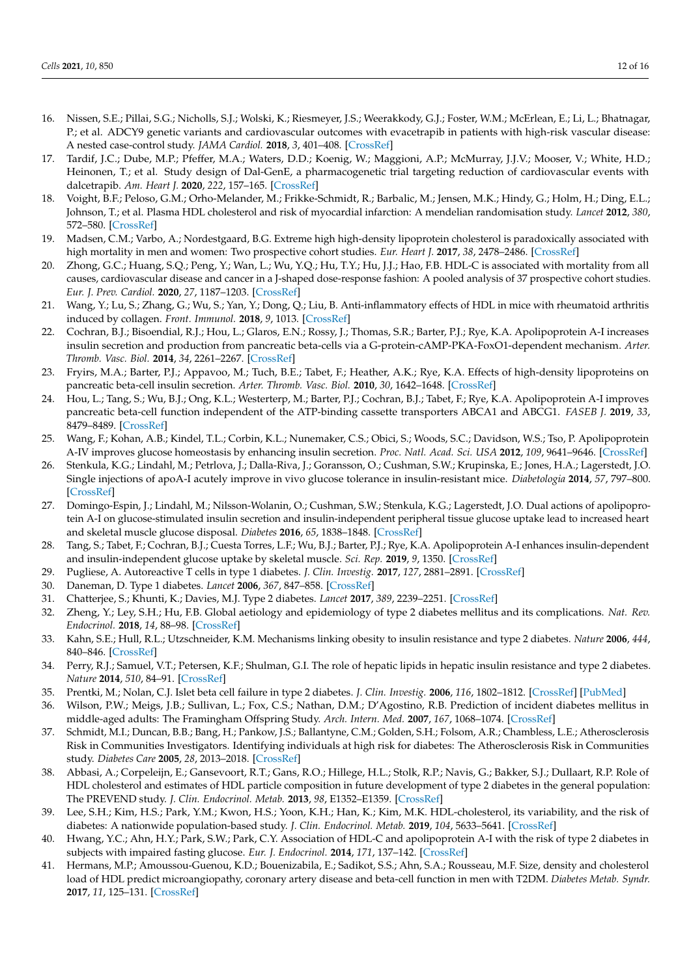- <span id="page-11-0"></span>16. Nissen, S.E.; Pillai, S.G.; Nicholls, S.J.; Wolski, K.; Riesmeyer, J.S.; Weerakkody, G.J.; Foster, W.M.; McErlean, E.; Li, L.; Bhatnagar, P.; et al. ADCY9 genetic variants and cardiovascular outcomes with evacetrapib in patients with high-risk vascular disease: A nested case-control study. *JAMA Cardiol.* **2018**, *3*, 401–408. [\[CrossRef\]](http://doi.org/10.1001/jamacardio.2018.0569)
- <span id="page-11-1"></span>17. Tardif, J.C.; Dube, M.P.; Pfeffer, M.A.; Waters, D.D.; Koenig, W.; Maggioni, A.P.; McMurray, J.J.V.; Mooser, V.; White, H.D.; Heinonen, T.; et al. Study design of Dal-GenE, a pharmacogenetic trial targeting reduction of cardiovascular events with dalcetrapib. *Am. Heart J.* **2020**, *222*, 157–165. [\[CrossRef\]](http://doi.org/10.1016/j.ahj.2020.01.007)
- <span id="page-11-2"></span>18. Voight, B.F.; Peloso, G.M.; Orho-Melander, M.; Frikke-Schmidt, R.; Barbalic, M.; Jensen, M.K.; Hindy, G.; Holm, H.; Ding, E.L.; Johnson, T.; et al. Plasma HDL cholesterol and risk of myocardial infarction: A mendelian randomisation study. *Lancet* **2012**, *380*, 572–580. [\[CrossRef\]](http://doi.org/10.1016/S0140-6736(12)60312-2)
- <span id="page-11-3"></span>19. Madsen, C.M.; Varbo, A.; Nordestgaard, B.G. Extreme high high-density lipoprotein cholesterol is paradoxically associated with high mortality in men and women: Two prospective cohort studies. *Eur. Heart J.* **2017**, *38*, 2478–2486. [\[CrossRef\]](http://doi.org/10.1093/eurheartj/ehx163)
- <span id="page-11-4"></span>20. Zhong, G.C.; Huang, S.Q.; Peng, Y.; Wan, L.; Wu, Y.Q.; Hu, T.Y.; Hu, J.J.; Hao, F.B. HDL-C is associated with mortality from all causes, cardiovascular disease and cancer in a J-shaped dose-response fashion: A pooled analysis of 37 prospective cohort studies. *Eur. J. Prev. Cardiol.* **2020**, *27*, 1187–1203. [\[CrossRef\]](http://doi.org/10.1177/2047487320914756)
- <span id="page-11-5"></span>21. Wang, Y.; Lu, S.; Zhang, G.; Wu, S.; Yan, Y.; Dong, Q.; Liu, B. Anti-inflammatory effects of HDL in mice with rheumatoid arthritis induced by collagen. *Front. Immunol.* **2018**, *9*, 1013. [\[CrossRef\]](http://doi.org/10.3389/fimmu.2018.01013)
- <span id="page-11-6"></span>22. Cochran, B.J.; Bisoendial, R.J.; Hou, L.; Glaros, E.N.; Rossy, J.; Thomas, S.R.; Barter, P.J.; Rye, K.A. Apolipoprotein A-I increases insulin secretion and production from pancreatic beta-cells via a G-protein-cAMP-PKA-FoxO1-dependent mechanism. *Arter. Thromb. Vasc. Biol.* **2014**, *34*, 2261–2267. [\[CrossRef\]](http://doi.org/10.1161/ATVBAHA.114.304131)
- <span id="page-11-21"></span>23. Fryirs, M.A.; Barter, P.J.; Appavoo, M.; Tuch, B.E.; Tabet, F.; Heather, A.K.; Rye, K.A. Effects of high-density lipoproteins on pancreatic beta-cell insulin secretion. *Arter. Thromb. Vasc. Biol.* **2010**, *30*, 1642–1648. [\[CrossRef\]](http://doi.org/10.1161/ATVBAHA.110.207373)
- <span id="page-11-24"></span>24. Hou, L.; Tang, S.; Wu, B.J.; Ong, K.L.; Westerterp, M.; Barter, P.J.; Cochran, B.J.; Tabet, F.; Rye, K.A. Apolipoprotein A-I improves pancreatic beta-cell function independent of the ATP-binding cassette transporters ABCA1 and ABCG1. *FASEB J.* **2019**, *33*, 8479–8489. [\[CrossRef\]](http://doi.org/10.1096/fj.201802512RR)
- <span id="page-11-22"></span>25. Wang, F.; Kohan, A.B.; Kindel, T.L.; Corbin, K.L.; Nunemaker, C.S.; Obici, S.; Woods, S.C.; Davidson, W.S.; Tso, P. Apolipoprotein A-IV improves glucose homeostasis by enhancing insulin secretion. *Proc. Natl. Acad. Sci. USA* **2012**, *109*, 9641–9646. [\[CrossRef\]](http://doi.org/10.1073/pnas.1201433109)
- <span id="page-11-25"></span>26. Stenkula, K.G.; Lindahl, M.; Petrlova, J.; Dalla-Riva, J.; Goransson, O.; Cushman, S.W.; Krupinska, E.; Jones, H.A.; Lagerstedt, J.O. Single injections of apoA-I acutely improve in vivo glucose tolerance in insulin-resistant mice. *Diabetologia* **2014**, *57*, 797–800. [\[CrossRef\]](http://doi.org/10.1007/s00125-014-3162-7)
- <span id="page-11-23"></span>27. Domingo-Espin, J.; Lindahl, M.; Nilsson-Wolanin, O.; Cushman, S.W.; Stenkula, K.G.; Lagerstedt, J.O. Dual actions of apolipoprotein A-I on glucose-stimulated insulin secretion and insulin-independent peripheral tissue glucose uptake lead to increased heart and skeletal muscle glucose disposal. *Diabetes* **2016**, *65*, 1838–1848. [\[CrossRef\]](http://doi.org/10.2337/db15-1493)
- <span id="page-11-7"></span>28. Tang, S.; Tabet, F.; Cochran, B.J.; Cuesta Torres, L.F.; Wu, B.J.; Barter, P.J.; Rye, K.A. Apolipoprotein A-I enhances insulin-dependent and insulin-independent glucose uptake by skeletal muscle. *Sci. Rep.* **2019**, *9*, 1350. [\[CrossRef\]](http://doi.org/10.1038/s41598-018-38014-3)
- <span id="page-11-8"></span>29. Pugliese, A. Autoreactive T cells in type 1 diabetes. *J. Clin. Investig.* **2017**, *127*, 2881–2891. [\[CrossRef\]](http://doi.org/10.1172/JCI94549)
- <span id="page-11-9"></span>30. Daneman, D. Type 1 diabetes. *Lancet* **2006**, *367*, 847–858. [\[CrossRef\]](http://doi.org/10.1016/S0140-6736(06)68341-4)
- <span id="page-11-10"></span>31. Chatterjee, S.; Khunti, K.; Davies, M.J. Type 2 diabetes. *Lancet* **2017**, *389*, 2239–2251. [\[CrossRef\]](http://doi.org/10.1016/S0140-6736(17)30058-2)
- <span id="page-11-11"></span>32. Zheng, Y.; Ley, S.H.; Hu, F.B. Global aetiology and epidemiology of type 2 diabetes mellitus and its complications. *Nat. Rev. Endocrinol.* **2018**, *14*, 88–98. [\[CrossRef\]](http://doi.org/10.1038/nrendo.2017.151)
- <span id="page-11-12"></span>33. Kahn, S.E.; Hull, R.L.; Utzschneider, K.M. Mechanisms linking obesity to insulin resistance and type 2 diabetes. *Nature* **2006**, *444*, 840–846. [\[CrossRef\]](http://doi.org/10.1038/nature05482)
- <span id="page-11-13"></span>34. Perry, R.J.; Samuel, V.T.; Petersen, K.F.; Shulman, G.I. The role of hepatic lipids in hepatic insulin resistance and type 2 diabetes. *Nature* **2014**, *510*, 84–91. [\[CrossRef\]](http://doi.org/10.1038/nature13478)
- <span id="page-11-14"></span>35. Prentki, M.; Nolan, C.J. Islet beta cell failure in type 2 diabetes. *J. Clin. Investig.* **2006**, *116*, 1802–1812. [\[CrossRef\]](http://doi.org/10.1172/JCI29103) [\[PubMed\]](http://www.ncbi.nlm.nih.gov/pubmed/16823478)
- <span id="page-11-15"></span>36. Wilson, P.W.; Meigs, J.B.; Sullivan, L.; Fox, C.S.; Nathan, D.M.; D'Agostino, R.B. Prediction of incident diabetes mellitus in middle-aged adults: The Framingham Offspring Study. *Arch. Intern. Med.* **2007**, *167*, 1068–1074. [\[CrossRef\]](http://doi.org/10.1001/archinte.167.10.1068)
- <span id="page-11-16"></span>37. Schmidt, M.I.; Duncan, B.B.; Bang, H.; Pankow, J.S.; Ballantyne, C.M.; Golden, S.H.; Folsom, A.R.; Chambless, L.E.; Atherosclerosis Risk in Communities Investigators. Identifying individuals at high risk for diabetes: The Atherosclerosis Risk in Communities study. *Diabetes Care* **2005**, *28*, 2013–2018. [\[CrossRef\]](http://doi.org/10.2337/diacare.28.8.2013)
- <span id="page-11-17"></span>38. Abbasi, A.; Corpeleijn, E.; Gansevoort, R.T.; Gans, R.O.; Hillege, H.L.; Stolk, R.P.; Navis, G.; Bakker, S.J.; Dullaart, R.P. Role of HDL cholesterol and estimates of HDL particle composition in future development of type 2 diabetes in the general population: The PREVEND study. *J. Clin. Endocrinol. Metab.* **2013**, *98*, E1352–E1359. [\[CrossRef\]](http://doi.org/10.1210/jc.2013-1680)
- <span id="page-11-18"></span>39. Lee, S.H.; Kim, H.S.; Park, Y.M.; Kwon, H.S.; Yoon, K.H.; Han, K.; Kim, M.K. HDL-cholesterol, its variability, and the risk of diabetes: A nationwide population-based study. *J. Clin. Endocrinol. Metab.* **2019**, *104*, 5633–5641. [\[CrossRef\]](http://doi.org/10.1210/jc.2019-01080)
- <span id="page-11-19"></span>40. Hwang, Y.C.; Ahn, H.Y.; Park, S.W.; Park, C.Y. Association of HDL-C and apolipoprotein A-I with the risk of type 2 diabetes in subjects with impaired fasting glucose. *Eur. J. Endocrinol.* **2014**, *171*, 137–142. [\[CrossRef\]](http://doi.org/10.1530/EJE-14-0195)
- <span id="page-11-20"></span>41. Hermans, M.P.; Amoussou-Guenou, K.D.; Bouenizabila, E.; Sadikot, S.S.; Ahn, S.A.; Rousseau, M.F. Size, density and cholesterol load of HDL predict microangiopathy, coronary artery disease and beta-cell function in men with T2DM. *Diabetes Metab. Syndr.* **2017**, *11*, 125–131. [\[CrossRef\]](http://doi.org/10.1016/j.dsx.2016.08.029)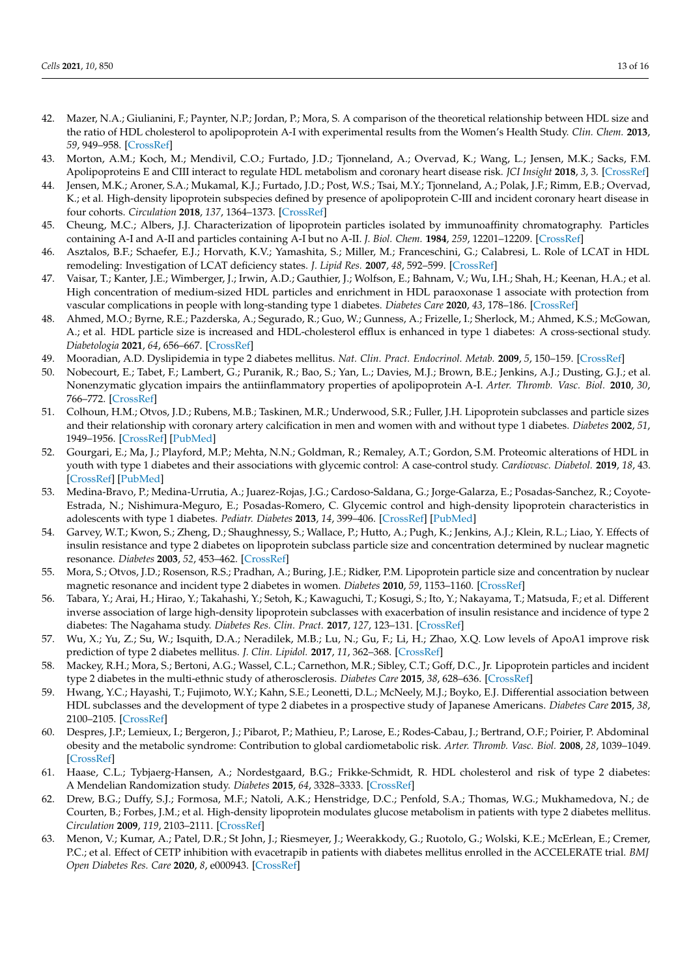- <span id="page-12-0"></span>42. Mazer, N.A.; Giulianini, F.; Paynter, N.P.; Jordan, P.; Mora, S. A comparison of the theoretical relationship between HDL size and the ratio of HDL cholesterol to apolipoprotein A-I with experimental results from the Women's Health Study. *Clin. Chem.* **2013**, *59*, 949–958. [\[CrossRef\]](http://doi.org/10.1373/clinchem.2012.196949)
- <span id="page-12-1"></span>43. Morton, A.M.; Koch, M.; Mendivil, C.O.; Furtado, J.D.; Tjonneland, A.; Overvad, K.; Wang, L.; Jensen, M.K.; Sacks, F.M. Apolipoproteins E and CIII interact to regulate HDL metabolism and coronary heart disease risk. *JCI Insight* **2018**, *3*, 3. [\[CrossRef\]](http://doi.org/10.1172/jci.insight.98045)
- <span id="page-12-2"></span>44. Jensen, M.K.; Aroner, S.A.; Mukamal, K.J.; Furtado, J.D.; Post, W.S.; Tsai, M.Y.; Tjonneland, A.; Polak, J.F.; Rimm, E.B.; Overvad, K.; et al. High-density lipoprotein subspecies defined by presence of apolipoprotein C-III and incident coronary heart disease in four cohorts. *Circulation* **2018**, *137*, 1364–1373. [\[CrossRef\]](http://doi.org/10.1161/CIRCULATIONAHA.117.031276)
- <span id="page-12-3"></span>45. Cheung, M.C.; Albers, J.J. Characterization of lipoprotein particles isolated by immunoaffinity chromatography. Particles containing A-I and A-II and particles containing A-I but no A-II. *J. Biol. Chem.* **1984**, *259*, 12201–12209. [\[CrossRef\]](http://doi.org/10.1016/S0021-9258(20)71339-6)
- <span id="page-12-4"></span>46. Asztalos, B.F.; Schaefer, E.J.; Horvath, K.V.; Yamashita, S.; Miller, M.; Franceschini, G.; Calabresi, L. Role of LCAT in HDL remodeling: Investigation of LCAT deficiency states. *J. Lipid Res.* **2007**, *48*, 592–599. [\[CrossRef\]](http://doi.org/10.1194/jlr.M600403-JLR200)
- <span id="page-12-5"></span>47. Vaisar, T.; Kanter, J.E.; Wimberger, J.; Irwin, A.D.; Gauthier, J.; Wolfson, E.; Bahnam, V.; Wu, I.H.; Shah, H.; Keenan, H.A.; et al. High concentration of medium-sized HDL particles and enrichment in HDL paraoxonase 1 associate with protection from vascular complications in people with long-standing type 1 diabetes. *Diabetes Care* **2020**, *43*, 178–186. [\[CrossRef\]](http://doi.org/10.2337/dc19-0772)
- <span id="page-12-8"></span>48. Ahmed, M.O.; Byrne, R.E.; Pazderska, A.; Segurado, R.; Guo, W.; Gunness, A.; Frizelle, I.; Sherlock, M.; Ahmed, K.S.; McGowan, A.; et al. HDL particle size is increased and HDL-cholesterol efflux is enhanced in type 1 diabetes: A cross-sectional study. *Diabetologia* **2021**, *64*, 656–667. [\[CrossRef\]](http://doi.org/10.1007/s00125-020-05320-3)
- <span id="page-12-6"></span>49. Mooradian, A.D. Dyslipidemia in type 2 diabetes mellitus. *Nat. Clin. Pract. Endocrinol. Metab.* **2009**, *5*, 150–159. [\[CrossRef\]](http://doi.org/10.1038/ncpendmet1066)
- <span id="page-12-7"></span>50. Nobecourt, E.; Tabet, F.; Lambert, G.; Puranik, R.; Bao, S.; Yan, L.; Davies, M.J.; Brown, B.E.; Jenkins, A.J.; Dusting, G.J.; et al. Nonenzymatic glycation impairs the antiinflammatory properties of apolipoprotein A-I. *Arter. Thromb. Vasc. Biol.* **2010**, *30*, 766–772. [\[CrossRef\]](http://doi.org/10.1161/ATVBAHA.109.201715)
- <span id="page-12-9"></span>51. Colhoun, H.M.; Otvos, J.D.; Rubens, M.B.; Taskinen, M.R.; Underwood, S.R.; Fuller, J.H. Lipoprotein subclasses and particle sizes and their relationship with coronary artery calcification in men and women with and without type 1 diabetes. *Diabetes* **2002**, *51*, 1949–1956. [\[CrossRef\]](http://doi.org/10.2337/diabetes.51.6.1949) [\[PubMed\]](http://www.ncbi.nlm.nih.gov/pubmed/12031985)
- <span id="page-12-10"></span>52. Gourgari, E.; Ma, J.; Playford, M.P.; Mehta, N.N.; Goldman, R.; Remaley, A.T.; Gordon, S.M. Proteomic alterations of HDL in youth with type 1 diabetes and their associations with glycemic control: A case-control study. *Cardiovasc. Diabetol.* **2019**, *18*, 43. [\[CrossRef\]](http://doi.org/10.1186/s12933-019-0846-9) [\[PubMed\]](http://www.ncbi.nlm.nih.gov/pubmed/30922315)
- <span id="page-12-11"></span>53. Medina-Bravo, P.; Medina-Urrutia, A.; Juarez-Rojas, J.G.; Cardoso-Saldana, G.; Jorge-Galarza, E.; Posadas-Sanchez, R.; Coyote-Estrada, N.; Nishimura-Meguro, E.; Posadas-Romero, C. Glycemic control and high-density lipoprotein characteristics in adolescents with type 1 diabetes. *Pediatr. Diabetes* **2013**, *14*, 399–406. [\[CrossRef\]](http://doi.org/10.1111/j.1399-5448.2012.00924.x) [\[PubMed\]](http://www.ncbi.nlm.nih.gov/pubmed/23057424)
- <span id="page-12-12"></span>54. Garvey, W.T.; Kwon, S.; Zheng, D.; Shaughnessy, S.; Wallace, P.; Hutto, A.; Pugh, K.; Jenkins, A.J.; Klein, R.L.; Liao, Y. Effects of insulin resistance and type 2 diabetes on lipoprotein subclass particle size and concentration determined by nuclear magnetic resonance. *Diabetes* **2003**, *52*, 453–462. [\[CrossRef\]](http://doi.org/10.2337/diabetes.52.2.453)
- <span id="page-12-13"></span>55. Mora, S.; Otvos, J.D.; Rosenson, R.S.; Pradhan, A.; Buring, J.E.; Ridker, P.M. Lipoprotein particle size and concentration by nuclear magnetic resonance and incident type 2 diabetes in women. *Diabetes* **2010**, *59*, 1153–1160. [\[CrossRef\]](http://doi.org/10.2337/db09-1114)
- <span id="page-12-14"></span>56. Tabara, Y.; Arai, H.; Hirao, Y.; Takahashi, Y.; Setoh, K.; Kawaguchi, T.; Kosugi, S.; Ito, Y.; Nakayama, T.; Matsuda, F.; et al. Different inverse association of large high-density lipoprotein subclasses with exacerbation of insulin resistance and incidence of type 2 diabetes: The Nagahama study. *Diabetes Res. Clin. Pract.* **2017**, *127*, 123–131. [\[CrossRef\]](http://doi.org/10.1016/j.diabres.2017.03.018)
- <span id="page-12-15"></span>57. Wu, X.; Yu, Z.; Su, W.; Isquith, D.A.; Neradilek, M.B.; Lu, N.; Gu, F.; Li, H.; Zhao, X.Q. Low levels of ApoA1 improve risk prediction of type 2 diabetes mellitus. *J. Clin. Lipidol.* **2017**, *11*, 362–368. [\[CrossRef\]](http://doi.org/10.1016/j.jacl.2017.01.009)
- <span id="page-12-16"></span>58. Mackey, R.H.; Mora, S.; Bertoni, A.G.; Wassel, C.L.; Carnethon, M.R.; Sibley, C.T.; Goff, D.C., Jr. Lipoprotein particles and incident type 2 diabetes in the multi-ethnic study of atherosclerosis. *Diabetes Care* **2015**, *38*, 628–636. [\[CrossRef\]](http://doi.org/10.2337/dc14-0645)
- <span id="page-12-17"></span>59. Hwang, Y.C.; Hayashi, T.; Fujimoto, W.Y.; Kahn, S.E.; Leonetti, D.L.; McNeely, M.J.; Boyko, E.J. Differential association between HDL subclasses and the development of type 2 diabetes in a prospective study of Japanese Americans. *Diabetes Care* **2015**, *38*, 2100–2105. [\[CrossRef\]](http://doi.org/10.2337/dc15-0625)
- <span id="page-12-18"></span>60. Despres, J.P.; Lemieux, I.; Bergeron, J.; Pibarot, P.; Mathieu, P.; Larose, E.; Rodes-Cabau, J.; Bertrand, O.F.; Poirier, P. Abdominal obesity and the metabolic syndrome: Contribution to global cardiometabolic risk. *Arter. Thromb. Vasc. Biol.* **2008**, *28*, 1039–1049. [\[CrossRef\]](http://doi.org/10.1161/ATVBAHA.107.159228)
- <span id="page-12-19"></span>61. Haase, C.L.; Tybjaerg-Hansen, A.; Nordestgaard, B.G.; Frikke-Schmidt, R. HDL cholesterol and risk of type 2 diabetes: A Mendelian Randomization study. *Diabetes* **2015**, *64*, 3328–3333. [\[CrossRef\]](http://doi.org/10.2337/db14-1603)
- <span id="page-12-20"></span>62. Drew, B.G.; Duffy, S.J.; Formosa, M.F.; Natoli, A.K.; Henstridge, D.C.; Penfold, S.A.; Thomas, W.G.; Mukhamedova, N.; de Courten, B.; Forbes, J.M.; et al. High-density lipoprotein modulates glucose metabolism in patients with type 2 diabetes mellitus. *Circulation* **2009**, *119*, 2103–2111. [\[CrossRef\]](http://doi.org/10.1161/CIRCULATIONAHA.108.843219)
- <span id="page-12-21"></span>63. Menon, V.; Kumar, A.; Patel, D.R.; St John, J.; Riesmeyer, J.; Weerakkody, G.; Ruotolo, G.; Wolski, K.E.; McErlean, E.; Cremer, P.C.; et al. Effect of CETP inhibition with evacetrapib in patients with diabetes mellitus enrolled in the ACCELERATE trial. *BMJ Open Diabetes Res. Care* **2020**, *8*, e000943. [\[CrossRef\]](http://doi.org/10.1136/bmjdrc-2019-000943)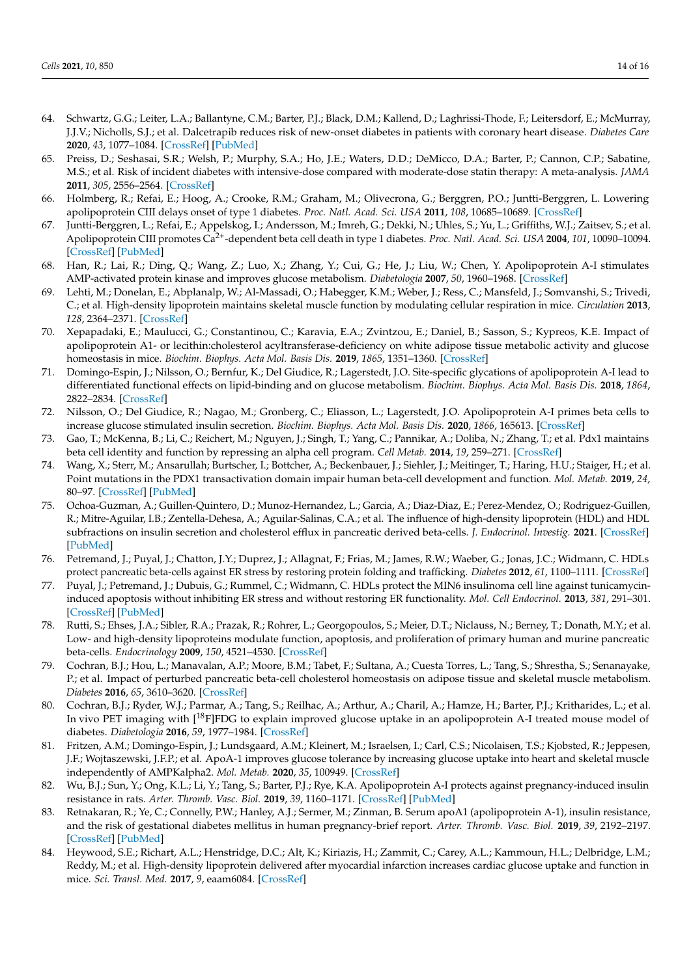- <span id="page-13-0"></span>64. Schwartz, G.G.; Leiter, L.A.; Ballantyne, C.M.; Barter, P.J.; Black, D.M.; Kallend, D.; Laghrissi-Thode, F.; Leitersdorf, E.; McMurray, J.J.V.; Nicholls, S.J.; et al. Dalcetrapib reduces risk of new-onset diabetes in patients with coronary heart disease. *Diabetes Care* **2020**, *43*, 1077–1084. [\[CrossRef\]](http://doi.org/10.2337/dc19-2204) [\[PubMed\]](http://www.ncbi.nlm.nih.gov/pubmed/32144166)
- <span id="page-13-1"></span>65. Preiss, D.; Seshasai, S.R.; Welsh, P.; Murphy, S.A.; Ho, J.E.; Waters, D.D.; DeMicco, D.A.; Barter, P.; Cannon, C.P.; Sabatine, M.S.; et al. Risk of incident diabetes with intensive-dose compared with moderate-dose statin therapy: A meta-analysis. *JAMA* **2011**, *305*, 2556–2564. [\[CrossRef\]](http://doi.org/10.1001/jama.2011.860)
- <span id="page-13-2"></span>66. Holmberg, R.; Refai, E.; Hoog, A.; Crooke, R.M.; Graham, M.; Olivecrona, G.; Berggren, P.O.; Juntti-Berggren, L. Lowering apolipoprotein CIII delays onset of type 1 diabetes. *Proc. Natl. Acad. Sci. USA* **2011**, *108*, 10685–10689. [\[CrossRef\]](http://doi.org/10.1073/pnas.1019553108)
- <span id="page-13-3"></span>67. Juntti-Berggren, L.; Refai, E.; Appelskog, I.; Andersson, M.; Imreh, G.; Dekki, N.; Uhles, S.; Yu, L.; Griffiths, W.J.; Zaitsev, S.; et al. Apolipoprotein CIII promotes Ca2+-dependent beta cell death in type 1 diabetes. *Proc. Natl. Acad. Sci. USA* **2004**, *101*, 10090–10094. [\[CrossRef\]](http://doi.org/10.1073/pnas.0403551101) [\[PubMed\]](http://www.ncbi.nlm.nih.gov/pubmed/15210953)
- <span id="page-13-4"></span>68. Han, R.; Lai, R.; Ding, Q.; Wang, Z.; Luo, X.; Zhang, Y.; Cui, G.; He, J.; Liu, W.; Chen, Y. Apolipoprotein A-I stimulates AMP-activated protein kinase and improves glucose metabolism. *Diabetologia* **2007**, *50*, 1960–1968. [\[CrossRef\]](http://doi.org/10.1007/s00125-007-0752-7)
- 69. Lehti, M.; Donelan, E.; Abplanalp, W.; Al-Massadi, O.; Habegger, K.M.; Weber, J.; Ress, C.; Mansfeld, J.; Somvanshi, S.; Trivedi, C.; et al. High-density lipoprotein maintains skeletal muscle function by modulating cellular respiration in mice. *Circulation* **2013**, *128*, 2364–2371. [\[CrossRef\]](http://doi.org/10.1161/CIRCULATIONAHA.113.001551)
- <span id="page-13-5"></span>70. Xepapadaki, E.; Maulucci, G.; Constantinou, C.; Karavia, E.A.; Zvintzou, E.; Daniel, B.; Sasson, S.; Kypreos, K.E. Impact of apolipoprotein A1- or lecithin:cholesterol acyltransferase-deficiency on white adipose tissue metabolic activity and glucose homeostasis in mice. *Biochim. Biophys. Acta Mol. Basis Dis.* **2019**, *1865*, 1351–1360. [\[CrossRef\]](http://doi.org/10.1016/j.bbadis.2019.02.003)
- <span id="page-13-6"></span>71. Domingo-Espin, J.; Nilsson, O.; Bernfur, K.; Del Giudice, R.; Lagerstedt, J.O. Site-specific glycations of apolipoprotein A-I lead to differentiated functional effects on lipid-binding and on glucose metabolism. *Biochim. Biophys. Acta Mol. Basis Dis.* **2018**, *1864*, 2822–2834. [\[CrossRef\]](http://doi.org/10.1016/j.bbadis.2018.05.014)
- <span id="page-13-7"></span>72. Nilsson, O.; Del Giudice, R.; Nagao, M.; Gronberg, C.; Eliasson, L.; Lagerstedt, J.O. Apolipoprotein A-I primes beta cells to increase glucose stimulated insulin secretion. *Biochim. Biophys. Acta Mol. Basis Dis.* **2020**, *1866*, 165613. [\[CrossRef\]](http://doi.org/10.1016/j.bbadis.2019.165613)
- <span id="page-13-8"></span>73. Gao, T.; McKenna, B.; Li, C.; Reichert, M.; Nguyen, J.; Singh, T.; Yang, C.; Pannikar, A.; Doliba, N.; Zhang, T.; et al. Pdx1 maintains beta cell identity and function by repressing an alpha cell program. *Cell Metab.* **2014**, *19*, 259–271. [\[CrossRef\]](http://doi.org/10.1016/j.cmet.2013.12.002)
- <span id="page-13-9"></span>74. Wang, X.; Sterr, M.; Ansarullah; Burtscher, I.; Bottcher, A.; Beckenbauer, J.; Siehler, J.; Meitinger, T.; Haring, H.U.; Staiger, H.; et al. Point mutations in the PDX1 transactivation domain impair human beta-cell development and function. *Mol. Metab.* **2019**, *24*, 80–97. [\[CrossRef\]](http://doi.org/10.1016/j.molmet.2019.03.006) [\[PubMed\]](http://www.ncbi.nlm.nih.gov/pubmed/30930126)
- <span id="page-13-10"></span>75. Ochoa-Guzman, A.; Guillen-Quintero, D.; Munoz-Hernandez, L.; Garcia, A.; Diaz-Diaz, E.; Perez-Mendez, O.; Rodriguez-Guillen, R.; Mitre-Aguilar, I.B.; Zentella-Dehesa, A.; Aguilar-Salinas, C.A.; et al. The influence of high-density lipoprotein (HDL) and HDL subfractions on insulin secretion and cholesterol efflux in pancreatic derived beta-cells. *J. Endocrinol. Investig.* **2021**. [\[CrossRef\]](http://doi.org/10.1007/s40618-021-01504-9) [\[PubMed\]](http://www.ncbi.nlm.nih.gov/pubmed/33486704)
- <span id="page-13-11"></span>76. Petremand, J.; Puyal, J.; Chatton, J.Y.; Duprez, J.; Allagnat, F.; Frias, M.; James, R.W.; Waeber, G.; Jonas, J.C.; Widmann, C. HDLs protect pancreatic beta-cells against ER stress by restoring protein folding and trafficking. *Diabetes* **2012**, *61*, 1100–1111. [\[CrossRef\]](http://doi.org/10.2337/db11-1221)
- <span id="page-13-12"></span>77. Puyal, J.; Petremand, J.; Dubuis, G.; Rummel, C.; Widmann, C. HDLs protect the MIN6 insulinoma cell line against tunicamycininduced apoptosis without inhibiting ER stress and without restoring ER functionality. *Mol. Cell Endocrinol.* **2013**, *381*, 291–301. [\[CrossRef\]](http://doi.org/10.1016/j.mce.2013.08.016) [\[PubMed\]](http://www.ncbi.nlm.nih.gov/pubmed/23994023)
- <span id="page-13-13"></span>78. Rutti, S.; Ehses, J.A.; Sibler, R.A.; Prazak, R.; Rohrer, L.; Georgopoulos, S.; Meier, D.T.; Niclauss, N.; Berney, T.; Donath, M.Y.; et al. Low- and high-density lipoproteins modulate function, apoptosis, and proliferation of primary human and murine pancreatic beta-cells. *Endocrinology* **2009**, *150*, 4521–4530. [\[CrossRef\]](http://doi.org/10.1210/en.2009-0252)
- <span id="page-13-14"></span>79. Cochran, B.J.; Hou, L.; Manavalan, A.P.; Moore, B.M.; Tabet, F.; Sultana, A.; Cuesta Torres, L.; Tang, S.; Shrestha, S.; Senanayake, P.; et al. Impact of perturbed pancreatic beta-cell cholesterol homeostasis on adipose tissue and skeletal muscle metabolism. *Diabetes* **2016**, *65*, 3610–3620. [\[CrossRef\]](http://doi.org/10.2337/db16-0668)
- <span id="page-13-15"></span>80. Cochran, B.J.; Ryder, W.J.; Parmar, A.; Tang, S.; Reilhac, A.; Arthur, A.; Charil, A.; Hamze, H.; Barter, P.J.; Kritharides, L.; et al. In vivo PET imaging with <sup>[18</sup>F]FDG to explain improved glucose uptake in an apolipoprotein A-I treated mouse model of diabetes. *Diabetologia* **2016**, *59*, 1977–1984. [\[CrossRef\]](http://doi.org/10.1007/s00125-016-3993-5)
- <span id="page-13-16"></span>81. Fritzen, A.M.; Domingo-Espin, J.; Lundsgaard, A.M.; Kleinert, M.; Israelsen, I.; Carl, C.S.; Nicolaisen, T.S.; Kjobsted, R.; Jeppesen, J.F.; Wojtaszewski, J.F.P.; et al. ApoA-1 improves glucose tolerance by increasing glucose uptake into heart and skeletal muscle independently of AMPKalpha2. *Mol. Metab.* **2020**, *35*, 100949. [\[CrossRef\]](http://doi.org/10.1016/j.molmet.2020.01.013)
- <span id="page-13-17"></span>82. Wu, B.J.; Sun, Y.; Ong, K.L.; Li, Y.; Tang, S.; Barter, P.J.; Rye, K.A. Apolipoprotein A-I protects against pregnancy-induced insulin resistance in rats. *Arter. Thromb. Vasc. Biol.* **2019**, *39*, 1160–1171. [\[CrossRef\]](http://doi.org/10.1161/ATVBAHA.118.312282) [\[PubMed\]](http://www.ncbi.nlm.nih.gov/pubmed/31018664)
- <span id="page-13-18"></span>83. Retnakaran, R.; Ye, C.; Connelly, P.W.; Hanley, A.J.; Sermer, M.; Zinman, B. Serum apoA1 (apolipoprotein A-1), insulin resistance, and the risk of gestational diabetes mellitus in human pregnancy-brief report. *Arter. Thromb. Vasc. Biol.* **2019**, *39*, 2192–2197. [\[CrossRef\]](http://doi.org/10.1161/ATVBAHA.119.313195) [\[PubMed\]](http://www.ncbi.nlm.nih.gov/pubmed/31412738)
- <span id="page-13-19"></span>84. Heywood, S.E.; Richart, A.L.; Henstridge, D.C.; Alt, K.; Kiriazis, H.; Zammit, C.; Carey, A.L.; Kammoun, H.L.; Delbridge, L.M.; Reddy, M.; et al. High-density lipoprotein delivered after myocardial infarction increases cardiac glucose uptake and function in mice. *Sci. Transl. Med.* **2017**, *9*, eaam6084. [\[CrossRef\]](http://doi.org/10.1126/scitranslmed.aam6084)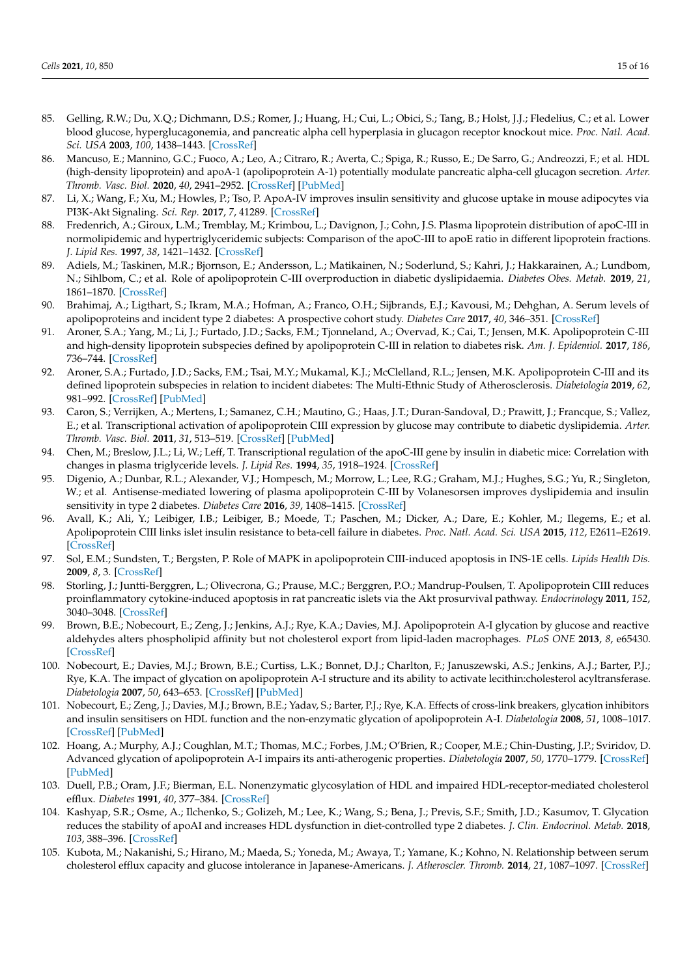- <span id="page-14-0"></span>85. Gelling, R.W.; Du, X.Q.; Dichmann, D.S.; Romer, J.; Huang, H.; Cui, L.; Obici, S.; Tang, B.; Holst, J.J.; Fledelius, C.; et al. Lower blood glucose, hyperglucagonemia, and pancreatic alpha cell hyperplasia in glucagon receptor knockout mice. *Proc. Natl. Acad. Sci. USA* **2003**, *100*, 1438–1443. [\[CrossRef\]](http://doi.org/10.1073/pnas.0237106100)
- <span id="page-14-1"></span>86. Mancuso, E.; Mannino, G.C.; Fuoco, A.; Leo, A.; Citraro, R.; Averta, C.; Spiga, R.; Russo, E.; De Sarro, G.; Andreozzi, F.; et al. HDL (high-density lipoprotein) and apoA-1 (apolipoprotein A-1) potentially modulate pancreatic alpha-cell glucagon secretion. *Arter. Thromb. Vasc. Biol.* **2020**, *40*, 2941–2952. [\[CrossRef\]](http://doi.org/10.1161/ATVBAHA.120.314640) [\[PubMed\]](http://www.ncbi.nlm.nih.gov/pubmed/33086869)
- <span id="page-14-2"></span>87. Li, X.; Wang, F.; Xu, M.; Howles, P.; Tso, P. ApoA-IV improves insulin sensitivity and glucose uptake in mouse adipocytes via PI3K-Akt Signaling. *Sci. Rep.* **2017**, *7*, 41289. [\[CrossRef\]](http://doi.org/10.1038/srep41289)
- <span id="page-14-3"></span>88. Fredenrich, A.; Giroux, L.M.; Tremblay, M.; Krimbou, L.; Davignon, J.; Cohn, J.S. Plasma lipoprotein distribution of apoC-III in normolipidemic and hypertriglyceridemic subjects: Comparison of the apoC-III to apoE ratio in different lipoprotein fractions. *J. Lipid Res.* **1997**, *38*, 1421–1432. [\[CrossRef\]](http://doi.org/10.1016/S0022-2275(20)37424-1)
- <span id="page-14-4"></span>89. Adiels, M.; Taskinen, M.R.; Bjornson, E.; Andersson, L.; Matikainen, N.; Soderlund, S.; Kahri, J.; Hakkarainen, A.; Lundbom, N.; Sihlbom, C.; et al. Role of apolipoprotein C-III overproduction in diabetic dyslipidaemia. *Diabetes Obes. Metab.* **2019**, *21*, 1861–1870. [\[CrossRef\]](http://doi.org/10.1111/dom.13744)
- <span id="page-14-5"></span>90. Brahimaj, A.; Ligthart, S.; Ikram, M.A.; Hofman, A.; Franco, O.H.; Sijbrands, E.J.; Kavousi, M.; Dehghan, A. Serum levels of apolipoproteins and incident type 2 diabetes: A prospective cohort study. *Diabetes Care* **2017**, *40*, 346–351. [\[CrossRef\]](http://doi.org/10.2337/dc16-1295)
- 91. Aroner, S.A.; Yang, M.; Li, J.; Furtado, J.D.; Sacks, F.M.; Tjonneland, A.; Overvad, K.; Cai, T.; Jensen, M.K. Apolipoprotein C-III and high-density lipoprotein subspecies defined by apolipoprotein C-III in relation to diabetes risk. *Am. J. Epidemiol.* **2017**, *186*, 736–744. [\[CrossRef\]](http://doi.org/10.1093/aje/kwx143)
- 92. Aroner, S.A.; Furtado, J.D.; Sacks, F.M.; Tsai, M.Y.; Mukamal, K.J.; McClelland, R.L.; Jensen, M.K. Apolipoprotein C-III and its defined lipoprotein subspecies in relation to incident diabetes: The Multi-Ethnic Study of Atherosclerosis. *Diabetologia* **2019**, *62*, 981–992. [\[CrossRef\]](http://doi.org/10.1007/s00125-019-4847-8) [\[PubMed\]](http://www.ncbi.nlm.nih.gov/pubmed/30949716)
- 93. Caron, S.; Verrijken, A.; Mertens, I.; Samanez, C.H.; Mautino, G.; Haas, J.T.; Duran-Sandoval, D.; Prawitt, J.; Francque, S.; Vallez, E.; et al. Transcriptional activation of apolipoprotein CIII expression by glucose may contribute to diabetic dyslipidemia. *Arter. Thromb. Vasc. Biol.* **2011**, *31*, 513–519. [\[CrossRef\]](http://doi.org/10.1161/ATVBAHA.110.220723) [\[PubMed\]](http://www.ncbi.nlm.nih.gov/pubmed/21183731)
- <span id="page-14-6"></span>94. Chen, M.; Breslow, J.L.; Li, W.; Leff, T. Transcriptional regulation of the apoC-III gene by insulin in diabetic mice: Correlation with changes in plasma triglyceride levels. *J. Lipid Res.* **1994**, *35*, 1918–1924. [\[CrossRef\]](http://doi.org/10.1016/S0022-2275(20)39938-7)
- <span id="page-14-7"></span>95. Digenio, A.; Dunbar, R.L.; Alexander, V.J.; Hompesch, M.; Morrow, L.; Lee, R.G.; Graham, M.J.; Hughes, S.G.; Yu, R.; Singleton, W.; et al. Antisense-mediated lowering of plasma apolipoprotein C-III by Volanesorsen improves dyslipidemia and insulin sensitivity in type 2 diabetes. *Diabetes Care* **2016**, *39*, 1408–1415. [\[CrossRef\]](http://doi.org/10.2337/dc16-0126)
- <span id="page-14-8"></span>96. Avall, K.; Ali, Y.; Leibiger, I.B.; Leibiger, B.; Moede, T.; Paschen, M.; Dicker, A.; Dare, E.; Kohler, M.; Ilegems, E.; et al. Apolipoprotein CIII links islet insulin resistance to beta-cell failure in diabetes. *Proc. Natl. Acad. Sci. USA* **2015**, *112*, E2611–E2619. [\[CrossRef\]](http://doi.org/10.1073/pnas.1423849112)
- <span id="page-14-9"></span>97. Sol, E.M.; Sundsten, T.; Bergsten, P. Role of MAPK in apolipoprotein CIII-induced apoptosis in INS-1E cells. *Lipids Health Dis.* **2009**, *8*, 3. [\[CrossRef\]](http://doi.org/10.1186/1476-511X-8-3)
- <span id="page-14-10"></span>98. Storling, J.; Juntti-Berggren, L.; Olivecrona, G.; Prause, M.C.; Berggren, P.O.; Mandrup-Poulsen, T. Apolipoprotein CIII reduces proinflammatory cytokine-induced apoptosis in rat pancreatic islets via the Akt prosurvival pathway. *Endocrinology* **2011**, *152*, 3040–3048. [\[CrossRef\]](http://doi.org/10.1210/en.2010-1422)
- <span id="page-14-11"></span>99. Brown, B.E.; Nobecourt, E.; Zeng, J.; Jenkins, A.J.; Rye, K.A.; Davies, M.J. Apolipoprotein A-I glycation by glucose and reactive aldehydes alters phospholipid affinity but not cholesterol export from lipid-laden macrophages. *PLoS ONE* **2013**, *8*, e65430. [\[CrossRef\]](http://doi.org/10.1371/journal.pone.0065430)
- 100. Nobecourt, E.; Davies, M.J.; Brown, B.E.; Curtiss, L.K.; Bonnet, D.J.; Charlton, F.; Januszewski, A.S.; Jenkins, A.J.; Barter, P.J.; Rye, K.A. The impact of glycation on apolipoprotein A-I structure and its ability to activate lecithin:cholesterol acyltransferase. *Diabetologia* **2007**, *50*, 643–653. [\[CrossRef\]](http://doi.org/10.1007/s00125-006-0574-z) [\[PubMed\]](http://www.ncbi.nlm.nih.gov/pubmed/17216278)
- <span id="page-14-12"></span>101. Nobecourt, E.; Zeng, J.; Davies, M.J.; Brown, B.E.; Yadav, S.; Barter, P.J.; Rye, K.A. Effects of cross-link breakers, glycation inhibitors and insulin sensitisers on HDL function and the non-enzymatic glycation of apolipoprotein A-I. *Diabetologia* **2008**, *51*, 1008–1017. [\[CrossRef\]](http://doi.org/10.1007/s00125-008-0986-z) [\[PubMed\]](http://www.ncbi.nlm.nih.gov/pubmed/18437350)
- <span id="page-14-13"></span>102. Hoang, A.; Murphy, A.J.; Coughlan, M.T.; Thomas, M.C.; Forbes, J.M.; O'Brien, R.; Cooper, M.E.; Chin-Dusting, J.P.; Sviridov, D. Advanced glycation of apolipoprotein A-I impairs its anti-atherogenic properties. *Diabetologia* **2007**, *50*, 1770–1779. [\[CrossRef\]](http://doi.org/10.1007/s00125-007-0718-9) [\[PubMed\]](http://www.ncbi.nlm.nih.gov/pubmed/17579831)
- 103. Duell, P.B.; Oram, J.F.; Bierman, E.L. Nonenzymatic glycosylation of HDL and impaired HDL-receptor-mediated cholesterol efflux. *Diabetes* **1991**, *40*, 377–384. [\[CrossRef\]](http://doi.org/10.2337/diab.40.3.377)
- 104. Kashyap, S.R.; Osme, A.; Ilchenko, S.; Golizeh, M.; Lee, K.; Wang, S.; Bena, J.; Previs, S.F.; Smith, J.D.; Kasumov, T. Glycation reduces the stability of apoAI and increases HDL dysfunction in diet-controlled type 2 diabetes. *J. Clin. Endocrinol. Metab.* **2018**, *103*, 388–396. [\[CrossRef\]](http://doi.org/10.1210/jc.2017-01551)
- 105. Kubota, M.; Nakanishi, S.; Hirano, M.; Maeda, S.; Yoneda, M.; Awaya, T.; Yamane, K.; Kohno, N. Relationship between serum cholesterol efflux capacity and glucose intolerance in Japanese-Americans. *J. Atheroscler. Thromb.* **2014**, *21*, 1087–1097. [\[CrossRef\]](http://doi.org/10.5551/jat.24315)